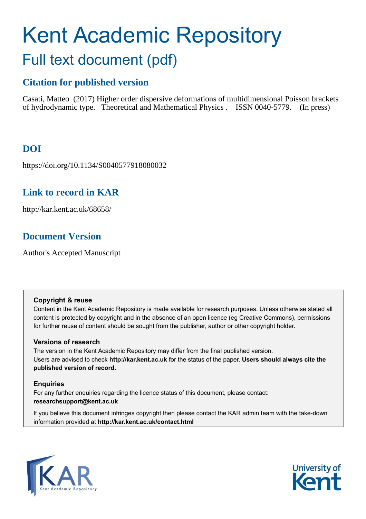# Kent Academic Repository Full text document (pdf)

## **Citation for published version**

Casati, Matteo (2017) Higher order dispersive deformations of multidimensional Poisson brackets of hydrodynamic type. Theoretical and Mathematical Physics . ISSN 0040-5779. (In press)

# **DOI**

https://doi.org/10.1134/S0040577918080032

## **Link to record in KAR**

http://kar.kent.ac.uk/68658/

## **Document Version**

Author's Accepted Manuscript

## **Copyright & reuse**

Content in the Kent Academic Repository is made available for research purposes. Unless otherwise stated all content is protected by copyright and in the absence of an open licence (eg Creative Commons), permissions for further reuse of content should be sought from the publisher, author or other copyright holder.

## **Versions of research**

The version in the Kent Academic Repository may differ from the final published version. Users are advised to check **http://kar.kent.ac.uk** for the status of the paper. **Users should always cite the published version of record.**

## **Enquiries**

For any further enquiries regarding the licence status of this document, please contact: **researchsupport@kent.ac.uk**

If you believe this document infringes copyright then please contact the KAR admin team with the take-down information provided at **http://kar.kent.ac.uk/contact.html**



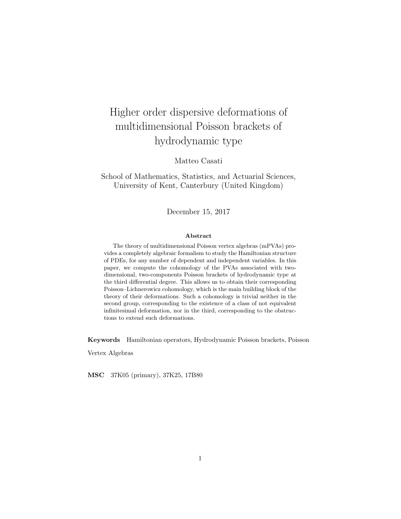# Higher order dispersive deformations of multidimensional Poisson brackets of hydrodynamic type

Matteo Casati

School of Mathematics, Statistics, and Actuarial Sciences, University of Kent, Canterbury (United Kingdom)

December 15, 2017

#### Abstract

The theory of multidimensional Poisson vertex algebras (mPVAs) provides a completely algebraic formalism to study the Hamiltonian structure of PDEs, for any number of dependent and independent variables. In this paper, we compute the cohomology of the PVAs associated with twodimensional, two-components Poisson brackets of hydrodynamic type at the third differential degree. This allows us to obtain their corresponding Poisson–Lichnerowicz cohomology, which is the main building block of the theory of their deformations. Such a cohomology is trivial neither in the second group, corresponding to the existence of a class of not equivalent infinitesimal deformation, nor in the third, corresponding to the obstructions to extend such deformations.

<span id="page-1-0"></span>Keywords Hamiltonian operators, Hydrodynamic Poisson brackets, Poisson

Vertex Algebras

<span id="page-1-1"></span>MSC 37K05 (primary), 37K25, 17B80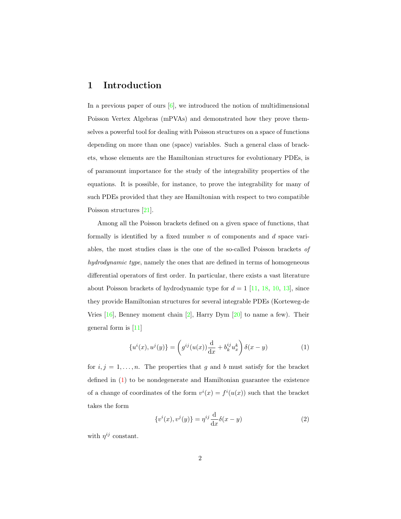## 1 Introduction

<span id="page-2-0"></span>In a previous paper of ours  $[6]$ , we introduced the notion of multidimensional Poisson Vertex Algebras (mPVAs) and demonstrated how they prove themselves a powerful tool for dealing with Poisson structures on a space of functions depending on more than one (space) variables. Such a general class of brackets, whose elements are the Hamiltonian structures for evolutionary PDEs, is of paramount importance for the study of the integrability properties of the equations. It is possible, for instance, to prove the integrability for many of such PDEs provided that they are Hamiltonian with respect to two compatible Poisson structures [\[21\]](#page-37-0).

Among all the Poisson brackets defined on a given space of functions, that formally is identified by a fixed number  $n$  of components and  $d$  space variables, the most studies class is the one of the so-called Poisson brackets of hydrodynamic type, namely the ones that are defined in terms of homogeneous differential operators of first order. In particular, there exists a vast literature about Poisson brackets of hydrodynamic type for  $d = 1$  [\[11,](#page-35-1) [18,](#page-36-0) [10,](#page-35-2) [13\]](#page-36-1), since they provide Hamiltonian structures for several integrable PDEs (Korteweg-de Vries [\[16\]](#page-36-2), Benney moment chain [\[2\]](#page-34-0), Harry Dym [\[20\]](#page-36-3) to name a few). Their general form is [\[11\]](#page-35-1)

$$
\{u^i(x), u^j(y)\} = \left(g^{ij}(u(x))\frac{\mathrm{d}}{\mathrm{d}x} + b_k^{ij}u_x^k\right)\delta(x-y) \tag{1}
$$

for  $i, j = 1, \ldots, n$ . The properties that g and b must satisfy for the bracket defined in [\(1\)](#page-1-0) to be nondegenerate and Hamiltonian guarantee the existence of a change of coordinates of the form  $v^i(x) = f^i(u(x))$  such that the bracket takes the form

$$
\{v^i(x), v^j(y)\} = \eta^{ij} \frac{\mathrm{d}}{\mathrm{d}x} \delta(x - y) \tag{2}
$$

with  $\eta^{ij}$  constant.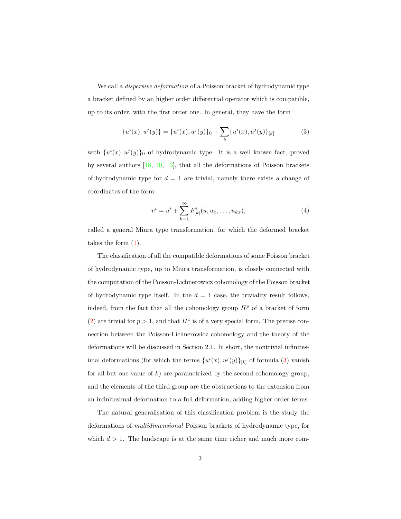We call a *dispersive deformation* of a Poisson bracket of hydrodynamic type a bracket defined by an higher order differential operator which is compatible, up to its order, with the first order one. In general, they have the form

$$
\{u^{i}(x), u^{j}(y)\} = \{u^{i}(x), u^{j}(y)\}_0 + \sum_{k} \{u^{i}(x), u^{j}(y)\}_{[k]}
$$
 (3)

with  $\{u^i(x), u^j(y)\}\$ o of hydrodynamic type. It is a well known fact, proved by several authors [\[18,](#page-36-0) [10,](#page-35-2) [13\]](#page-36-1), that all the deformations of Poisson brackets of hydrodynamic type for  $d = 1$  are trivial, namely there exists a change of coordinates of the form

$$
v^{i} = u^{i} + \sum_{k=1}^{\infty} F_{[k]}^{i}(u, u_{x}, \dots, u_{kx}),
$$
\n(4)

called a general Miura type transformation, for which the deformed bracket takes the form [\(1\)](#page-1-0).

The classification of all the compatible deformations of some Poisson bracket of hydrodynamic type, up to Miura transformation, is closely connected with the computation of the Poisson-Lichnerowicz cohomology of the Poisson bracket of hydrodynamic type itself. In the  $d = 1$  case, the triviality result follows, indeed, from the fact that all the cohomology group  $H<sup>p</sup>$  of a bracket of form [\(2\)](#page-1-1) are trivial for  $p > 1$ , and that  $H<sup>1</sup>$  is of a very special form. The precise connection between the Poisson-Lichnerowicz cohomology and the theory of the deformations will be discussed in Section 2.1. In short, the nontrivial infinitesimal deformations (for which the terms  ${u^i(x), u^j(y)}_{[k]}$  of formula [\(3\)](#page-2-0) vanish for all but one value of k) are parametrized by the second cohomology group, and the elements of the third group are the obstructions to the extension from an infinitesimal deformation to a full deformation, adding higher order terms.

The natural generalisation of this classification problem is the study the deformations of multidimensional Poisson brackets of hydrodynamic type, for which  $d > 1$ . The landscape is at the same time richer and much more com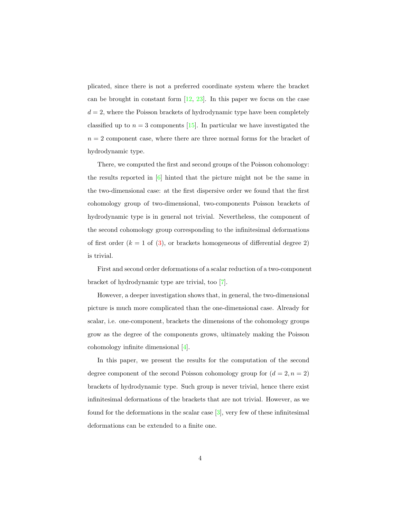plicated, since there is not a preferred coordinate system where the bracket can be brought in constant form [\[12,](#page-36-4) [23\]](#page-37-1). In this paper we focus on the case  $d = 2$ , where the Poisson brackets of hydrodynamic type have been completely classified up to  $n = 3$  components [\[15\]](#page-36-5). In particular we have investigated the  $n = 2$  component case, where there are three normal forms for the bracket of hydrodynamic type.

There, we computed the first and second groups of the Poisson cohomology: the results reported in [\[6\]](#page-35-0) hinted that the picture might not be the same in the two-dimensional case: at the first dispersive order we found that the first cohomology group of two-dimensional, two-components Poisson brackets of hydrodynamic type is in general not trivial. Nevertheless, the component of the second cohomology group corresponding to the infinitesimal deformations of first order  $(k = 1$  of  $(3)$ , or brackets homogeneous of differential degree 2) is trivial.

First and second order deformations of a scalar reduction of a two-component bracket of hydrodynamic type are trivial, too [\[7\]](#page-35-3).

However, a deeper investigation shows that, in general, the two-dimensional picture is much more complicated than the one-dimensional case. Already for scalar, i.e. one-component, brackets the dimensions of the cohomology groups grow as the degree of the components grows, ultimately making the Poisson cohomology infinite dimensional [\[4\]](#page-35-4).

<span id="page-4-0"></span>In this paper, we present the results for the computation of the second degree component of the second Poisson cohomology group for  $(d = 2, n = 2)$ brackets of hydrodynamic type. Such group is never trivial, hence there exist infinitesimal deformations of the brackets that are not trivial. However, as we found for the deformations in the scalar case [\[3\]](#page-35-5), very few of these infinitesimal deformations can be extended to a finite one.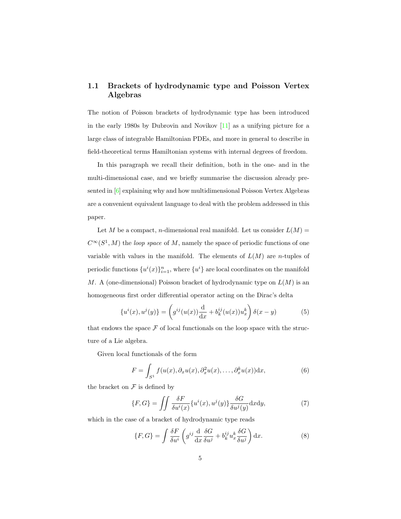#### 1.1 Brackets of hydrodynamic type and Poisson Vertex Algebras

The notion of Poisson brackets of hydrodynamic type has been introduced in the early 1980s by Dubrovin and Novikov [\[11\]](#page-35-1) as a unifying picture for a large class of integrable Hamiltonian PDEs, and more in general to describe in field-theoretical terms Hamiltonian systems with internal degrees of freedom.

In this paragraph we recall their definition, both in the one- and in the multi-dimensional case, and we briefly summarise the discussion already presented in [\[6\]](#page-35-0) explaining why and how multidimensional Poisson Vertex Algebras are a convenient equivalent language to deal with the problem addressed in this paper.

Let M be a compact, n-dimensional real manifold. Let us consider  $L(M)$  =  $C^{\infty}(S^1, M)$  the *loop space* of M, namely the space of periodic functions of one variable with values in the manifold. The elements of  $L(M)$  are *n*-tuples of periodic functions  $\{u^{i}(x)\}_{i=1}^{n}$ , where  $\{u^{i}\}\$ are local coordinates on the manifold M. A (one-dimensional) Poisson bracket of hydrodynamic type on  $L(M)$  is an homogeneous first order differential operator acting on the Dirac's delta

$$
\{u^{i}(x), u^{j}(y)\} = \left(g^{ij}(u(x))\frac{d}{dx} + b^{ij}_{k}(u(x))u^{k}_{x}\right)\delta(x - y)
$$
(5)

that endows the space  $\mathcal F$  of local functionals on the loop space with the structure of a Lie algebra.

Given local functionals of the form

$$
F = \int_{S^1} f(u(x), \partial_x u(x), \partial_x^2 u(x), \dots, \partial_x^k u(x)) \mathrm{d}x,\tag{6}
$$

the bracket on  $\mathcal F$  is defined by

$$
\{F, G\} = \iint \frac{\delta F}{\delta u^i(x)} \{u^i(x), u^j(y)\} \frac{\delta G}{\delta u^j(y)} \mathrm{d}x \mathrm{d}y,\tag{7}
$$

which in the case of a bracket of hydrodynamic type reads

$$
\{F, G\} = \int \frac{\delta F}{\delta u^i} \left( g^{ij} \frac{\mathrm{d}}{\mathrm{d}x} \frac{\delta G}{\delta u^j} + b_k^{ij} u_x^k \frac{\delta G}{\delta u^j} \right) \mathrm{d}x. \tag{8}
$$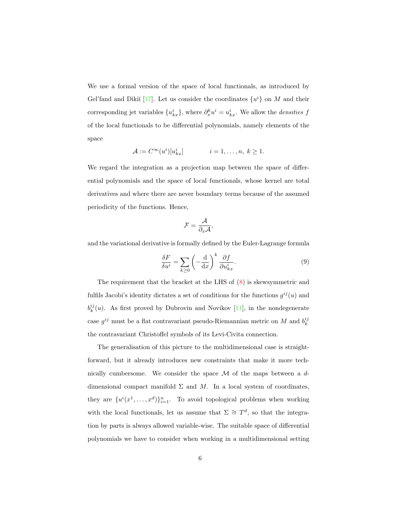We use a formal version of the space of local functionals, as introduced by Gel'fand and Dikiĭ [\[17\]](#page-36-6). Let us consider the coordinates  $\{u^i\}$  on M and their corresponding jet variables  $\{u_{kx}^i\}$ , where  $\partial_x^k u^i = u_{kx}^i$ . We allow the *densities* f of the local functionals to be differential polynomials, namely elements of the space

$$
\mathcal{A} := C^{\infty}(u^i)[u^i_{kx}] \qquad i = 1, \dots, n, \ k \ge 1.
$$

We regard the integration as a projection map between the space of differential polynomials and the space of local functionals, whose kernel are total derivatives and where there are never boundary terms because of the assumed periodicity of the functions. Hence,

$$
\mathcal{F} = \frac{\mathcal{A}}{\partial_x \mathcal{A}},
$$

and the variational derivative is formally defined by the Euler-Lagrange formula

$$
\frac{\delta F}{\delta u^i} = \sum_{k \ge 0} \left( -\frac{\mathrm{d}}{\mathrm{d}x} \right)^k \frac{\partial f}{\partial u^i_{kx}}.
$$
\n(9)

The requirement that the bracket at the LHS of [\(8\)](#page-4-0) is skewsymmetric and fulfils Jacobi's identity dictates a set of conditions for the functions  $g^{ij}(u)$  and  $b_k^{ij}(u)$ . As first proved by Dubrovin and Novikov [\[11\]](#page-35-1), in the nondegenerate case  $g^{ij}$  must be a flat contravariant pseudo-Riemannian metric on M and  $b_k^{ij}$ the contravariant Christoffel symbols of its Levi-Civita connection.

<span id="page-6-0"></span>The generalisation of this picture to the multidimensional case is straightforward, but it already introduces new constraints that make it more technically cumbersome. We consider the space  $\mathcal M$  of the maps between a ddimensional compact manifold  $\Sigma$  and M. In a local system of coordinates, they are  $\{u^i(x^1, \ldots, x^d)\}_{i=1}^n$ . To avoid topological problems when working with the local functionals, let us assume that  $\Sigma \cong T^d$ , so that the integration by parts is always allowed variable-wise. The suitable space of differential polynomials we have to consider when working in a multidimensional setting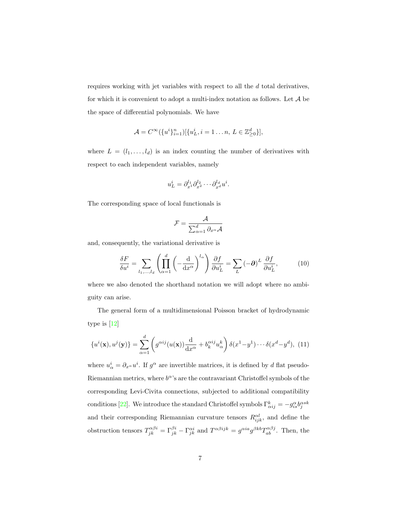requires working with jet variables with respect to all the d total derivatives, for which it is convenient to adopt a multi-index notation as follows. Let  $\mathcal A$  be the space of differential polynomials. We have

$$
\mathcal{A} = C^{\infty}(\{u^{i}\}_{i=1}^{n})[\{u_{L}^{i}, i = 1 \dots n, L \in \mathbb{Z}_{\geq 0}^{d}\}],
$$

where  $L = (l_1, \ldots, l_d)$  is an index counting the number of derivatives with respect to each independent variables, namely

<span id="page-7-0"></span>
$$
u_L^i = \partial_{x^1}^{l_1} \partial_{x^2}^{l_2} \cdots \partial_{x^d}^{l_d} u^i.
$$

The corresponding space of local functionals is

$$
\mathcal{F} = \frac{\mathcal{A}}{\sum_{\alpha=1}^d \partial_{x^\alpha} \mathcal{A}}
$$

and, consequently, the variational derivative is

$$
\frac{\delta F}{\delta u^i} = \sum_{l_1,\dots,l_d} \left( \prod_{\alpha=1}^d \left( -\frac{\mathrm{d}}{\mathrm{d}x^{\alpha}} \right)^{l_{\alpha}} \right) \frac{\partial f}{\partial u^i_L} = \sum_L \left( -\partial \right)^L \frac{\partial f}{\partial u^i_L},\tag{10}
$$

where we also denoted the shorthand notation we will adopt where no ambiguity can arise.

The general form of a multidimensional Poisson bracket of hydrodynamic type is [\[12\]](#page-36-4)

$$
\{u^i(\mathbf{x}), u^j(\mathbf{y})\} = \sum_{\alpha=1}^d \left(g^{\alpha ij}(u(\mathbf{x})) \frac{\mathrm{d}}{\mathrm{d}x^{\alpha}} + b_k^{\alpha ij} u_{\alpha}^k\right) \delta(x^1 - y^1) \cdots \delta(x^d - y^d), \tag{11}
$$

where  $u^i_\alpha = \partial_{x^\alpha} u^i$ . If  $g^\alpha$  are invertible matrices, it is defined by d flat pseudo-Riemannian metrics, where  $b^{\alpha}$ 's are the contravariant Christoffel symbols of the corresponding Levi-Civita connections, subjected to additional compatibility conditions [\[22\]](#page-37-2). We introduce the standard Christoffel symbols  $\Gamma_{\alpha ij}^k = -g_{is}^{\alpha}b_j^{\alpha sk}$ and their corresponding Riemannian curvature tensors  $R_{ijk}^{cl}$ , and define the obstruction tensors  $T_{jk}^{\alpha\beta i} = \Gamma_{jk}^{\beta i} - \Gamma_{jk}^{\alpha i}$  and  $T^{\alpha\beta ijk} = g^{\alpha i a} g^{\beta k b} T_{ab}^{\alpha \beta j}$ . Then, the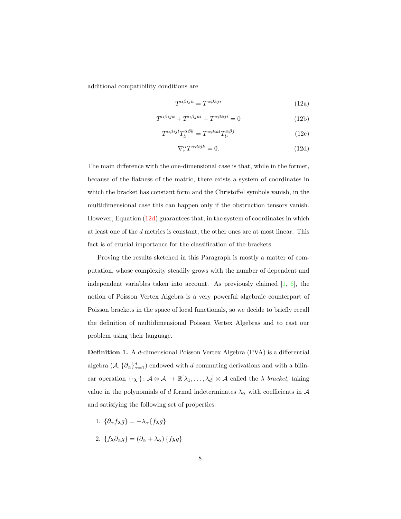additional compatibility conditions are

$$
T^{\alpha\beta ijk} = T^{\alpha\beta kji} \tag{12a}
$$

$$
T^{\alpha\beta ijk} + T^{\alpha\beta jki} + T^{\alpha\beta kji} = 0
$$
\n(12b)

$$
T^{\alpha\beta ijl}T^{\alpha\beta k}_{lr} = T^{\alpha\beta ikl}T^{\alpha\beta j}_{lr} \tag{12c}
$$

$$
\nabla_r^{\alpha} T^{\alpha \beta i j k} = 0. \tag{12d}
$$

The main difference with the one-dimensional case is that, while in the former, because of the flatness of the matric, there exists a system of coordinates in which the bracket has constant form and the Christoffel symbols vanish, in the multidimensional case this can happen only if the obstruction tensors vanish. However, Equation [\(12d\)](#page-7-0) guarantees that, in the system of coordinates in which at least one of the d metrics is constant, the other ones are at most linear. This fact is of crucial importance for the classification of the brackets.

Proving the results sketched in this Paragraph is mostly a matter of computation, whose complexity steadily grows with the number of dependent and independent variables taken into account. As previously claimed  $[1, 6]$  $[1, 6]$ , the notion of Poisson Vertex Algebra is a very powerful algebraic counterpart of Poisson brackets in the space of local functionals, so we decide to briefly recall the definition of multidimensional Poisson Vertex Algebras and to cast our problem using their language.

<span id="page-8-0"></span>Definition 1. A d-dimensional Poisson Vertex Algebra (PVA) is a differential algebra  $(\mathcal{A}, \{\partial_{\alpha}\}_{\alpha=1}^d)$  endowed with d commuting derivations and with a bilinear operation  $\{\cdot_{\lambda}\cdot\} \colon \mathcal{A} \otimes \mathcal{A} \to \mathbb{R}[\lambda_1,\ldots,\lambda_d] \otimes \mathcal{A}$  called the  $\lambda$  bracket, taking value in the polynomials of d formal indeterminates  $\lambda_{\alpha}$  with coefficients in  $\mathcal{A}$ and satisfying the following set of properties:

- 1.  $\{\partial_{\alpha} f_{\lambda} g\} = -\lambda_{\alpha} \{f_{\lambda} g\}$
- 2.  ${f_{\lambda}\partial_{\alpha}g} = (\partial_{\alpha} + \lambda_{\alpha}) {f_{\lambda}g}$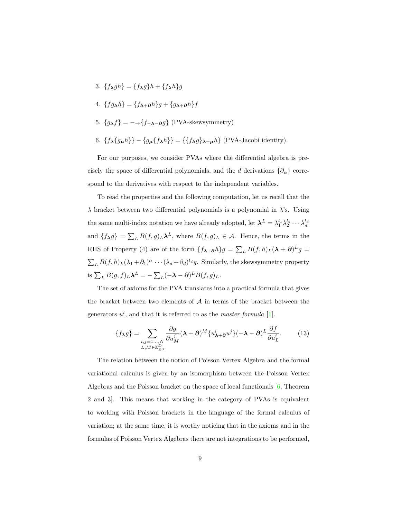- 3.  ${f_{\lambda}gh} = {f_{\lambda}g}h + {f_{\lambda}h}g$
- 4.  ${fg\lambda h} = {f\lambda + \partial h}g + {g\lambda + \partial h}f$
- 5.  ${g_{\lambda}f} = -\frac{f_{-\lambda-\partial}g}{\sum_{\lambda}f}$  (PVA-skewsymmetry)
- 6.  $\{f_{\lambda}\{g_{\mu}h\}\}-\{g_{\mu}\{f_{\lambda}h\}\}=\{\{f_{\lambda}g\}_{\lambda+\mu}h\}$  (PVA-Jacobi identity).

For our purposes, we consider PVAs where the differential algebra is precisely the space of differential polynomials, and the d derivations  $\{\partial_{\alpha}\}\$ correspond to the derivatives with respect to the independent variables.

To read the properties and the following computation, let us recall that the  $\lambda$  bracket between two differential polynomials is a polynomial in  $\lambda$ 's. Using the same multi-index notation we have already adopted, let  $\mathbf{\lambda}^L = \lambda_1^{l_1} \lambda_2^{l_2} \cdots \lambda_d^{l_d}$ and  $\{f_{\lambda}g\} = \sum_{L} B(f,g)_{L} \lambda^{L}$ , where  $B(f,g)_{L} \in \mathcal{A}$ . Hence, the terms in the RHS of Property (4) are of the form  $\{f_{\lambda+\partial}h\}g = \sum_L B(f,h)_L(\lambda+\partial)^L g =$  $\sum_L B(f, h)_L (\lambda_1 + \partial_1)^{l_1} \cdots (\lambda_d + \partial_d)^{l_d} g$ . Similarly, the skewsymmetry property is  $\sum_{L} B(g, f)_{L} \lambda^{L} = -\sum_{L} (-\lambda - \partial)^{L} B(f, g)_{L}$ .

The set of axioms for the PVA translates into a practical formula that gives the bracket between two elements of  $A$  in terms of the bracket between the generators  $u^i$ , and that it is referred to as the *master formula* [\[1\]](#page-34-1).

$$
\{f_{\lambda}g\} = \sum_{\substack{i,j=1...,N\\L,M\in\mathbb{Z}_{\geq 0}^D}} \frac{\partial g}{\partial u_M^j} (\lambda + \partial)^M \{u_{\lambda+\partial}^i u^j\} (-\lambda - \partial)^L \frac{\partial f}{\partial u_L^i}.
$$
 (13)

The relation between the notion of Poisson Vertex Algebra and the formal variational calculus is given by an isomorphism between the Poisson Vertex Algebras and the Poisson bracket on the space of local functionals [\[6,](#page-35-0) Theorem 2 and 3]. This means that working in the category of PVAs is equivalent to working with Poisson brackets in the language of the formal calculus of variation; at the same time, it is worthy noticing that in the axioms and in the formulas of Poisson Vertex Algebras there are not integrations to be performed,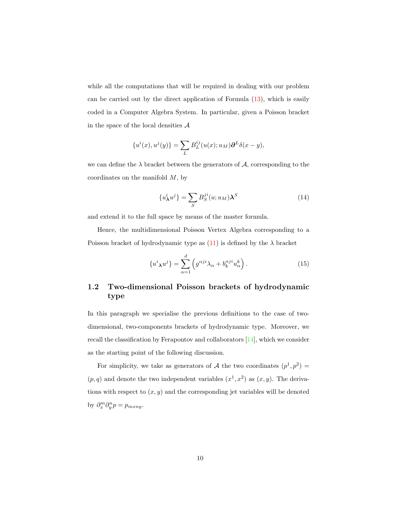while all the computations that will be required in dealing with our problem can be carried out by the direct application of Formula [\(13\)](#page-8-0), which is easily coded in a Computer Algebra System. In particular, given a Poisson bracket in the space of the local densities  $A$ 

<span id="page-10-0"></span>
$$
\{u^{i}(x),u^{j}(y)\}=\sum_{L}B_{L}^{ij}(u(x);u_{M})\partial^{L}\delta(x-y),
$$

we can define the  $\lambda$  bracket between the generators of  $A$ , corresponding to the coordinates on the manifold  $M$ , by

$$
\{u^i_{\boldsymbol{\lambda}}u^j\} = \sum_{S} B_S^{ji}(u; u_M)\boldsymbol{\lambda}^S
$$
 (14)

and extend it to the full space by means of the master formula.

Hence, the multidimensional Poisson Vertex Algebra corresponding to a Poisson bracket of hydrodynamic type as  $(11)$  is defined by the  $\lambda$  bracket

<span id="page-10-3"></span><span id="page-10-2"></span><span id="page-10-1"></span>
$$
\{u^i{}_{\mathbf{\lambda}}u^j\} = \sum_{\alpha=1}^d \left(g^{\alpha j i}\lambda_\alpha + b_k^{\alpha j i}u_\alpha^k\right). \tag{15}
$$

#### 1.2 Two-dimensional Poisson brackets of hydrodynamic type

In this paragraph we specialise the previous definitions to the case of twodimensional, two-components brackets of hydrodynamic type. Moreover, we recall the classification by Ferapontov and collaborators [\[14\]](#page-36-7), which we consider as the starting point of the following discussion.

For simplicity, we take as generators of A the two coordinates  $(p^1, p^2)$  =  $(p, q)$  and denote the two independent variables  $(x<sup>1</sup>, x<sup>2</sup>)$  as  $(x, y)$ . The derivations with respect to  $(x, y)$  and the corresponding jet variables will be denoted by  $\partial_x^m \partial_y^n p = p_{m x n y}$ .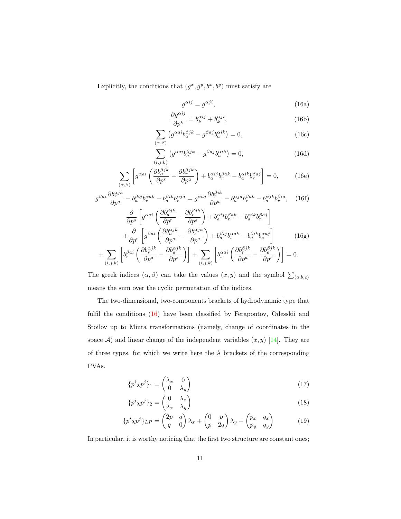Explicitly, the conditions that  $(g^x, g^y, b^x, b^y)$  must satisfy are

$$
g^{\alpha ij} = g^{\alpha ji},\tag{16a}
$$

$$
\frac{\partial g^{\alpha ij}}{\partial p^k} = b_k^{\alpha ij} + b_k^{\alpha ji},\tag{16b}
$$

$$
\sum_{(\alpha,\beta)} \left( g^{\alpha a i} b_a^{\beta j k} - g^{\beta a j} b_a^{\alpha i k} \right) = 0, \tag{16c}
$$

$$
\sum_{(i,j,k)} \left( g^{\alpha a i} b_a^{\beta j k} - g^{\beta a j} b_a^{\alpha i k} \right) = 0,\tag{16d}
$$

$$
\sum_{(\alpha,\beta)} \left[ g^{\alpha a i} \left( \frac{\partial b_a^{\beta j k}}{\partial p^r} - \frac{\partial b_r^{\beta j k}}{\partial p^a} \right) + b_a^{\alpha i j} b_r^{\beta a k} - b_a^{\alpha i k} b_r^{\beta a j} \right] = 0, \quad (16e)
$$

$$
g^{\beta ai} \frac{\partial b_r^{\alpha j k}}{\partial p^a} - b_a^{\beta ij} b_r^{\alpha ak} - b_a^{\beta ik} b_r^{\alpha j a} = g^{\alpha aj} \frac{\partial b_r^{\beta ik}}{\partial p^a} - b_a^{\alpha j a} b_r^{\beta ak} - b_a^{\alpha j k} b_r^{\beta ia}, \quad (16f)
$$

$$
\frac{\partial}{\partial p^s} \left[ g^{\alpha ai} \left( \frac{\partial b_a^{\beta j k}}{\partial p^r} - \frac{\partial b_r^{\beta j k}}{\partial p^a} \right) + b_a^{\alpha ij} b_r^{\beta ak} - b_a^{\alpha ik} b_r^{\beta aj} \right] + \frac{\partial}{\partial p^r} \left[ g^{\beta ai} \left( \frac{\partial b_a^{\alpha j k}}{\partial p^s} - \frac{\partial b_s^{\alpha j k}}{\partial p^a} \right) + b_a^{\beta ij} b_s^{\alpha ak} - b_a^{\beta ik} b_s^{\alpha aj} \right]
$$
(16g)

<span id="page-11-0"></span>
$$
+\sum_{(i,j,k)}\left[ b^{\beta a i}_r\left(\frac{\partial b^{\alpha j k}_s}{\partial p^a}-\frac{\partial b^{\alpha j k}_a}{\partial p^s}\right)\right]+\sum_{(i,j,k)}\left[ b^{\alpha a i}_s\left(\frac{\partial b^{\beta j k}_r}{\partial p^a}-\frac{\partial b^{\beta j k}_a}{\partial p^r}\right)\right]=0.
$$

The greek indices  $(\alpha, \beta)$  can take the values  $(x, y)$  and the symbol  $\sum_{(a, b, c)}$ means the sum over the cyclic permutation of the indices.

The two-dimensional, two-components brackets of hydrodynamic type that fulfil the conditions [\(16\)](#page-10-0) have been classified by Ferapontov, Odesskii and Stoilov up to Miura transformations (namely, change of coordinates in the space  $A$ ) and linear change of the independent variables  $(x, y)$  [\[14\]](#page-36-7). They are of three types, for which we write here the  $\lambda$  brackets of the corresponding PVAs.

$$
\{p^i{}_{\lambda}p^j\}_1 = \begin{pmatrix} \lambda_x & 0\\ 0 & \lambda_y \end{pmatrix} \tag{17}
$$

$$
\{p^i{}_{\lambda}p^j\}_2 = \begin{pmatrix} 0 & \lambda_x \\ \lambda_x & \lambda_y \end{pmatrix} \tag{18}
$$

$$
\{p^i{}_{\mathbf{\lambda}}p^j\}_{LP} = \begin{pmatrix} 2p & q \\ q & 0 \end{pmatrix} \lambda_x + \begin{pmatrix} 0 & p \\ p & 2q \end{pmatrix} \lambda_y + \begin{pmatrix} p_x & q_x \\ p_y & q_y \end{pmatrix} \tag{19}
$$

In particular, it is worthy noticing that the first two structure are constant ones;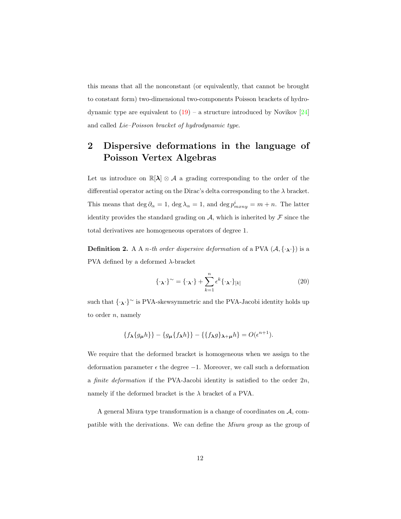<span id="page-12-0"></span>this means that all the nonconstant (or equivalently, that cannot be brought to constant form) two-dimensional two-components Poisson brackets of hydrodynamic type are equivalent to  $(19)$  – a structure introduced by Novikov [\[24\]](#page-37-3) and called Lie–Poisson bracket of hydrodynamic type.

## 2 Dispersive deformations in the language of Poisson Vertex Algebras

Let us introduce on  $\mathbb{R}[\lambda] \otimes A$  a grading corresponding to the order of the differential operator acting on the Dirac's delta corresponding to the  $\lambda$  bracket. This means that  $\deg \partial_{\alpha} = 1$ ,  $\deg \lambda_{\alpha} = 1$ , and  $\deg p_{m x n y}^i = m + n$ . The latter identity provides the standard grading on  $A$ , which is inherited by  $\mathcal F$  since the total derivatives are homogeneous operators of degree 1.

**Definition 2.** A A *n*-th order dispersive deformation of a PVA  $(A, \{\cdot_A\})$  is a PVA defined by a deformed  $\lambda$ -bracket

$$
\{\cdot_{\lambda}\cdot\}^{\sim} = \{\cdot_{\lambda}\cdot\} + \sum_{k=1}^{n} \epsilon^{k} \{\cdot_{\lambda}\cdot\}_{[k]}
$$
 (20)

such that  $\{\cdot,\cdot\}^{\sim}$  is PVA-skewsymmetric and the PVA-Jacobi identity holds up to order  $n$ , namely

$$
\{f_{\lambda}\{g_{\mu}h\}\}-\{g_{\mu}\{f_{\lambda}h\}\}-\{\{f_{\lambda}g\}_{\lambda+\mu}h\}=O(\epsilon^{n+1}).
$$

We require that the deformed bracket is homogeneous when we assign to the deformation parameter  $\epsilon$  the degree  $-1$ . Moreover, we call such a deformation a *finite deformation* if the PVA-Jacobi identity is satisfied to the order  $2n$ , namely if the deformed bracket is the  $\lambda$  bracket of a PVA.

A general Miura type transformation is a change of coordinates on  $A$ , compatible with the derivations. We can define the Miura group as the group of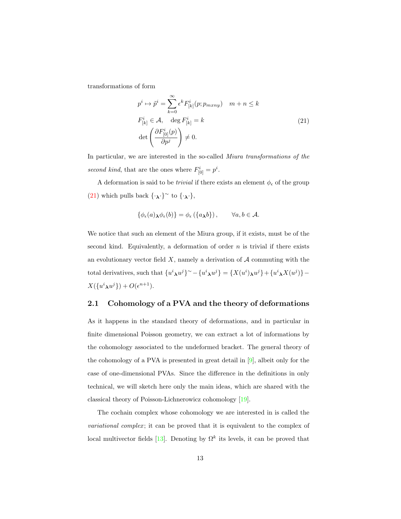transformations of form

$$
p^{i} \mapsto \tilde{p}^{i} = \sum_{k=0}^{\infty} \epsilon^{k} F_{[k]}^{i}(p; p_{m x n y}) \quad m + n \le k
$$
  

$$
F_{[k]}^{i} \in \mathcal{A}, \quad \deg F_{[k]}^{i} = k
$$
  

$$
\det \left( \frac{\partial F_{[0]}^{i}(p)}{\partial p^{j}} \right) \neq 0.
$$
 (21)

In particular, we are interested in the so-called Miura transformations of the second kind, that are the ones where  $F_{[0]}^i = p^i$ .

A deformation is said to be *trivial* if there exists an element  $\phi_{\epsilon}$  of the group [\(21\)](#page-12-0) which pulls back  $\{\cdot_{\lambda}\}^{\sim}$  to  $\{\cdot_{\lambda}\}$ ,

<span id="page-13-0"></span>
$$
\{\phi_{\epsilon}(a)_{\lambda}\phi_{\epsilon}(b)\}=\phi_{\epsilon}(\{a_{\lambda}b\}),\qquad\forall a,b\in\mathcal{A}.
$$

We notice that such an element of the Miura group, if it exists, must be of the second kind. Equivalently, a deformation of order  $n$  is trivial if there exists an evolutionary vector field  $X$ , namely a derivation of  $A$  commuting with the total derivatives, such that  $\{u^i \lambda u^j\}^{\sim} - \{u^i \lambda u^j\} = \{X(u^i) \lambda u^j\} + \{u^i \lambda X(u^j)\} X(\lbrace u^i \lambda u^j \rbrace) + O(\epsilon^{n+1}).$ 

#### 2.1 Cohomology of a PVA and the theory of deformations

As it happens in the standard theory of deformations, and in particular in finite dimensional Poisson geometry, we can extract a lot of informations by the cohomology associated to the undeformed bracket. The general theory of the cohomology of a PVA is presented in great detail in [\[9\]](#page-35-6), albeit only for the case of one-dimensional PVAs. Since the difference in the definitions in only technical, we will sketch here only the main ideas, which are shared with the classical theory of Poisson-Lichnerowicz cohomology [\[19\]](#page-36-8).

The cochain complex whose cohomology we are interested in is called the *variational complex*; it can be proved that it is equivalent to the complex of local multivector fields [\[13\]](#page-36-1). Denoting by  $\Omega^k$  its levels, it can be proved that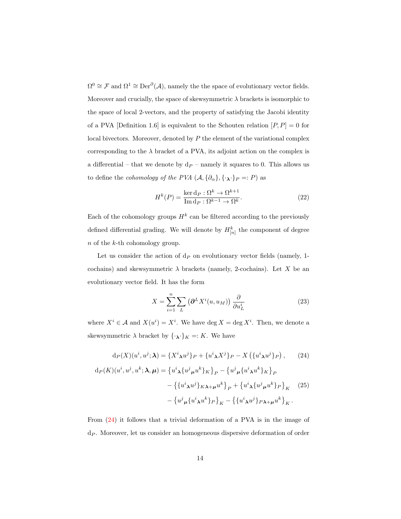$\Omega^0 \cong \mathcal{F}$  and  $\Omega^1 \cong \text{Der}^{\partial}(\mathcal{A})$ , namely the the space of evolutionary vector fields. Moreover and crucially, the space of skewsymmetric  $\lambda$  brackets is isomorphic to the space of local 2-vectors, and the property of satisfying the Jacobi identity of a PVA [Definition 1.6] is equivalent to the Schouten relation  $[P, P] = 0$  for local bivectors. Moreover, denoted by  $P$  the element of the variational complex corresponding to the  $\lambda$  bracket of a PVA, its adjoint action on the complex is a differential – that we denote by  $d_P$  – namely it squares to 0. This allows us to define the *cohomology of the PVA*  $(A, {\partial_{\alpha}}{, {\{\cdot\}}}_P =: P)$  as

$$
H^{k}(P) = \frac{\ker \mathbf{d}_P : \Omega^k \to \Omega^{k+1}}{\operatorname{Im} \mathbf{d}_P : \Omega^{k-1} \to \Omega^k}.
$$
 (22)

Each of the cohomology groups  $H^k$  can be filtered according to the previously defined differential grading. We will denote by  $H_{[n]}^k$  the component of degree n of the k-th cohomology group.

Let us consider the action of  $d<sub>P</sub>$  on evolutionary vector fields (namely, 1cochains) and skewsymmetric  $\lambda$  brackets (namely, 2-cochains). Let X be an evolutionary vector field. It has the form

$$
X = \sum_{i=1}^{n} \sum_{L} \left( \partial^{L} X^{i}(u, u_{M}) \right) \frac{\partial}{\partial u_{L}^{i}} \tag{23}
$$

where  $X^i \in \mathcal{A}$  and  $X(u^i) = X^i$ . We have deg  $X = \deg X^i$ . Then, we denote a skewsymmetric  $\lambda$  bracket by  $\{\cdot_{\lambda}\cdot\}_K =: K$ . We have

$$
d_P(X)(u^i, u^j; \lambda) = \{X^i \lambda u^j\}_P + \{u^i \lambda X^j\}_P - X(\{u^i \lambda u^j\}_P), \qquad (24)
$$

$$
d_P(K)(u^i, u^j, u^k; \lambda, \mu) = \{u^i \lambda \{u^j \mu u^k\}_K\}_P - \{u^j \mu \{u^i \lambda u^k\}_K\}_P
$$

$$
- \{\{u^i \lambda u^j\}_K \lambda + \mu u^k\}_P + \{u^i \lambda \{u^j \mu u^k\}_P\}_K \qquad (25)
$$

$$
- \{u^j \mu \{u^i \lambda u^k\}_P\}_K - \{\{u^i \lambda u^j\}_P \lambda + \mu u^k\}_K.
$$

From [\(24\)](#page-13-0) it follows that a trivial deformation of a PVA is in the image of  $d_P$ . Moreover, let us consider an homogeneous dispersive deformation of order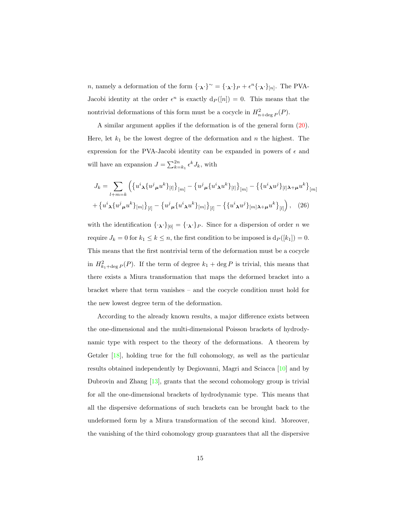n, namely a deformation of the form  $\{\cdot_{\lambda}\}^{\sim} = \{\cdot_{\lambda}\}^P + \epsilon^n \{\cdot_{\lambda}\}^P$ . The PVA-Jacobi identity at the order  $\epsilon^n$  is exactly  $d_P([n]) = 0$ . This means that the nontrivial deformations of this form must be a cocycle in  $H_{n+\deg P}^2(P)$ .

A similar argument applies if the deformation is of the general form [\(20\)](#page-11-0). Here, let  $k_1$  be the lowest degree of the deformation and n the highest. The expression for the PVA-Jacobi identity can be expanded in powers of  $\epsilon$  and will have an expansion  $J = \sum_{k=k_1}^{2n} \epsilon^k J_k$ , with

$$
J_k = \sum_{l+m=k} \left( \left\{ u^i \chi \{ u^j \mu u^k \} _{[l]} \right\}_{[m]} - \left\{ u^j \mu \{ u^i \chi u^k \} _{[l]} \right\}_{[m]} - \left\{ \{ u^i \chi u^j \} _{[l] \lambda + \mu} u^k \right\}_{[m]} + \left\{ u^i \chi \{ u^j \mu u^k \} _{[m]} \right\}_{[l]} - \left\{ u^j \mu \{ u^i \chi u^k \} _{[m]} \right\}_{[l]} - \left\{ \{ u^i \chi u^j \} _{[m] \lambda + \mu} u^k \right\}_{[l]} \right), \quad (26)
$$

<span id="page-15-0"></span>with the identification  $\{\cdot_{\lambda}\cdot\}_{[0]} = \{\cdot_{\lambda}\cdot\}_P$ . Since for a dispersion of order n we require  $J_k = 0$  for  $k_1 \leq k \leq n$ , the first condition to be imposed is  $d_P([k_1]) = 0$ . This means that the first nontrivial term of the deformation must be a cocycle in  $H_{k_1+\deg P}^2(P)$ . If the term of degree  $k_1 + \deg P$  is trivial, this means that there exists a Miura transformation that maps the deformed bracket into a bracket where that term vanishes – and the cocycle condition must hold for the new lowest degree term of the deformation.

According to the already known results, a major difference exists between the one-dimensional and the multi-dimensional Poisson brackets of hydrodynamic type with respect to the theory of the deformations. A theorem by Getzler [\[18\]](#page-36-0), holding true for the full cohomology, as well as the particular results obtained independently by Degiovanni, Magri and Sciacca [\[10\]](#page-35-2) and by Dubrovin and Zhang [\[13\]](#page-36-1), grants that the second cohomology group is trivial for all the one-dimensional brackets of hydrodynamic type. This means that all the dispersive deformations of such brackets can be brought back to the undeformed form by a Miura transformation of the second kind. Moreover, the vanishing of the third cohomology group guarantees that all the dispersive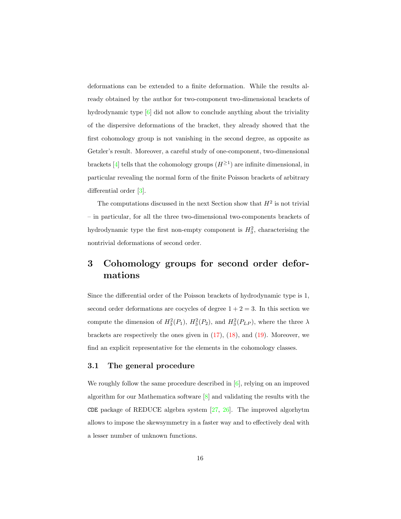deformations can be extended to a finite deformation. While the results already obtained by the author for two-component two-dimensional brackets of hydrodynamic type [\[6\]](#page-35-0) did not allow to conclude anything about the triviality of the dispersive deformations of the bracket, they already showed that the first cohomology group is not vanishing in the second degree, as opposite as Getzler's result. Moreover, a careful study of one-component, two-dimensional brackets [\[4\]](#page-35-4) tells that the cohomology groups  $(H^{\geq 1})$  are infinite dimensional, in particular revealing the normal form of the finite Poisson brackets of arbitrary differential order [\[3\]](#page-35-5).

The computations discussed in the next Section show that  $H^2$  is not trivial – in particular, for all the three two-dimensional two-components brackets of hydrodynamic type the first non-empty component is  $H_3^2$ , characterising the nontrivial deformations of second order.

## 3 Cohomology groups for second order deformations

Since the differential order of the Poisson brackets of hydrodynamic type is 1, second order deformations are cocycles of degree  $1 + 2 = 3$ . In this section we compute the dimension of  $H_3^2(P_1)$ ,  $H_3^2(P_2)$ , and  $H_3^2(P_{LP})$ , where the three  $\lambda$ brackets are respectively the ones given in [\(17\)](#page-10-2), [\(18\)](#page-10-3), and [\(19\)](#page-10-1). Moreover, we find an explicit representative for the elements in the cohomology classes.

#### 3.1 The general procedure

We roughly follow the same procedure described in  $[6]$ , relying on an improved algorithm for our Mathematica software [\[8\]](#page-35-7) and validating the results with the CDE package of REDUCE algebra system  $[27, 26]$  $[27, 26]$ . The improved algorhytm allows to impose the skewsymmetry in a faster way and to effectively deal with a lesser number of unknown functions.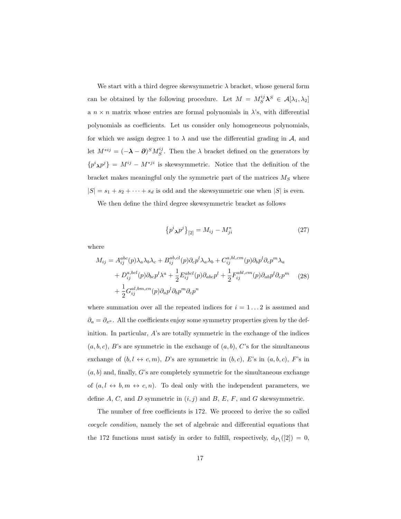We start with a third degree skewsymmetric  $\lambda$  bracket, whose general form can be obtained by the following procedure. Let  $M = M_S^{ij} \lambda^S \in \mathcal{A}[\lambda_1, \lambda_2]$ a  $n \times n$  matrix whose entries are formal polynomials in  $\lambda$ 's, with differential polynomials as coefficients. Let us consider only homogeneous polynomials, for which we assign degree 1 to  $\lambda$  and use the differential grading in A, and let  $M^{*ij} = (-\lambda - \partial)^S M_S^{ij}$ . Then the  $\lambda$  bracket defined on the generators by  $\{p^i, p^j\} = M^{ij} - M^{*ji}$  is skewsymmetric. Notice that the definition of the bracket makes meaningful only the symmetric part of the matrices  $M<sub>S</sub>$  where  $|S| = s_1 + s_2 + \cdots + s_d$  is odd and the skewsymmetric one when  $|S|$  is even.

We then define the third degree skewsymmetric bracket as follows

$$
\{p^i{}_{\lambda}p^j\}_{[2]} = M_{ij} - M^*_{ji} \tag{27}
$$

where

<span id="page-17-0"></span>
$$
M_{ij} = A_{ij}^{abc}(p)\lambda_a\lambda_b\lambda_c + B_{ij}^{ab,cl}(p)\partial_c p^l\lambda_a\lambda_b + C_{ij}^{a,bl,cm}(p)\partial_b p^l\partial_c p^m\lambda_a
$$
  
+ 
$$
D_{ij}^{a,bcl}(p)\partial_{bc} p^l\lambda^a + \frac{1}{2}E_{ij}^{abcd}(p)\partial_{abc} p^l + \frac{1}{2}F_{ij}^{abl,cm}(p)\partial_{ab} p^l\partial_c p^m
$$
  
+ 
$$
\frac{1}{2}G_{ij}^{al,bm,cn}(p)\partial_a p^l\partial_b p^m\partial_c p^n
$$
 (28)

where summation over all the repeated indices for  $i = 1...2$  is assumed and  $∂<sub>a</sub> = ∂<sub>x<sup>a</sup></sub>$ . All the coefficients enjoy some symmetry properties given by the definition. In particular, A's are totally symmetric in the exchange of the indices  $(a, b, c)$ , B's are symmetric in the exchange of  $(a, b)$ , C's for the simultaneous exchange of  $(b, l \leftrightarrow c, m)$ , D's are symmetric in  $(b, c)$ , E's in  $(a, b, c)$ , F's in  $(a, b)$  and, finally, G's are completely symmetric for the simultaneous exchange of  $(a, l \leftrightarrow b, m \leftrightarrow c, n)$ . To deal only with the independent parameters, we define  $A, C$ , and  $D$  symmetric in  $(i, j)$  and  $B, E, F$ , and  $G$  skewsymmetric.

The number of free coefficients is 172. We proceed to derive the so called cocycle condition, namely the set of algebraic and differential equations that the 172 functions must satisfy in order to fulfill, respectively,  $d_{P_1}([2]) = 0$ ,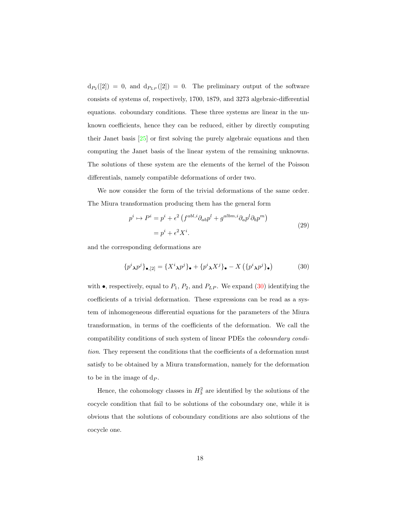<span id="page-18-0"></span> $d_{P_2}([2]) = 0$ , and  $d_{P_{LP}}([2]) = 0$ . The preliminary output of the software consists of systems of, respectively, 1700, 1879, and 3273 algebraic-differential equations. coboundary conditions. These three systems are linear in the unknown coefficients, hence they can be reduced, either by directly computing their Janet basis [\[25\]](#page-37-6) or first solving the purely algebraic equations and then computing the Janet basis of the linear system of the remaining unknowns. The solutions of these system are the elements of the kernel of the Poisson differentials, namely compatible deformations of order two.

We now consider the form of the trivial deformations of the same order. The Miura transformation producing them has the general form

$$
p^{i} \mapsto P^{i} = p^{i} + \epsilon^{2} \left( f^{abl,i} \partial_{ab} p^{l} + g^{albm,i} \partial_{a} p^{l} \partial_{b} p^{m} \right)
$$

$$
= p^{i} + \epsilon^{2} X^{i}.
$$
 (29)

and the corresponding deformations are

$$
\{p^i{}_{\lambda}p^j\}_{\bullet,[2]} = \{X^i{}_{\lambda}p^j\}_{\bullet} + \{p^i{}_{\lambda}X^j\}_{\bullet} - X\left(\{p^i{}_{\lambda}p^j\}_{\bullet}\right) \tag{30}
$$

with  $\bullet$ , respectively, equal to  $P_1$ ,  $P_2$ , and  $P_{LP}$ . We expand [\(30\)](#page-17-0) identifying the coefficients of a trivial deformation. These expressions can be read as a system of inhomogeneous differential equations for the parameters of the Miura transformation, in terms of the coefficients of the deformation. We call the compatibility conditions of such system of linear PDEs the coboundary condition. They represent the conditions that the coefficients of a deformation must satisfy to be obtained by a Miura transformation, namely for the deformation to be in the image of  $d_P$ .

Hence, the cohomology classes in  $H_3^2$  are identified by the solutions of the cocycle condition that fail to be solutions of the coboundary one, while it is obvious that the solutions of coboundary conditions are also solutions of the cocycle one.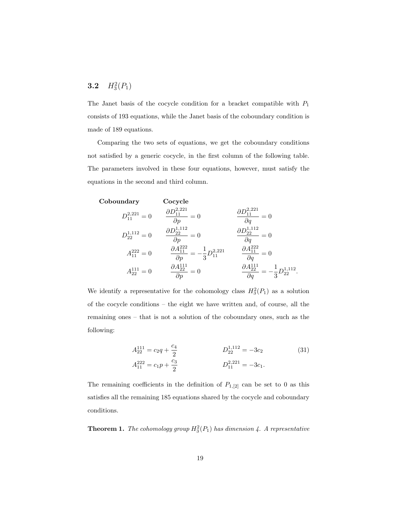## **3.2**  $H_3^2(P_1)$

The Janet basis of the cocycle condition for a bracket compatible with  $P_1$ consists of 193 equations, while the Janet basis of the coboundary condition is made of 189 equations.

Comparing the two sets of equations, we get the coboundary conditions not satisfied by a generic cocycle, in the first column of the following table. The parameters involved in these four equations, however, must satisfy the equations in the second and third column.

Coboundary Cocycle  $D_{11}^{2,221}=0$  $\frac{\partial D^{2,221}_{11}}{\partial p} = 0$  $\frac{\partial D_{11}^{2,221}}{\partial q} = 0$  $D_{22}^{1,112}=0$  $\frac{\partial D^{1,112}_{22}}{\partial p}=0$  $\frac{\partial D^{1,112}_{22}}{\partial q}=0$  $A_{11}^{222} = 0$  $\frac{\partial A_{11}^{222}}{\partial p} = -\frac{1}{3}$  $rac{1}{3}D_{11}^{2,221}$  $\frac{\partial A_{11}^{222}}{\partial q} = 0$  $A_{22}^{111}=0$  $\frac{\partial A_{22}^{111}}{\partial p} = 0$  $\frac{\partial A_{22}^{111}}{\partial q} = -\frac{1}{3}$  $rac{1}{3}D_{22}^{1,112}$ .

We identify a representative for the cohomology class  $H_3^2(P_1)$  as a solution of the cocycle conditions – the eight we have written and, of course, all the remaining ones – that is not a solution of the coboundary ones, such as the following:

$$
A_{22}^{111} = c_2 q + \frac{c_4}{2}
$$
  
\n
$$
A_{11}^{222} = c_1 p + \frac{c_3}{2}
$$
  
\n
$$
D_{11}^{1112} = -3c_2
$$
  
\n
$$
D_{11}^{112} = -3c_1.
$$
\n(31)

The remaining coefficients in the definition of  $P_{1,[2]}$  can be set to 0 as this satisfies all the remaining 185 equations shared by the cocycle and coboundary conditions.

**Theorem 1.** The cohomology group  $H_3^2(P_1)$  has dimension 4. A representative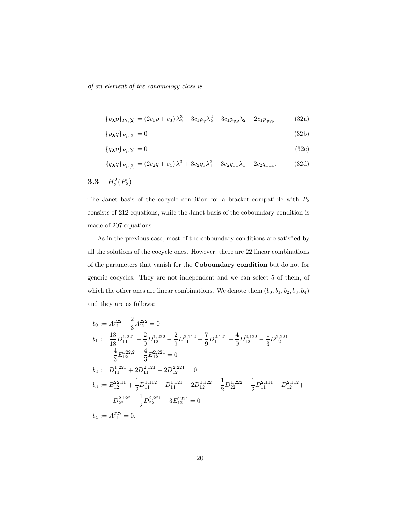of an element of the cohomology class is

$$
\{p_{\lambda}p\}_{P_1,[2]} = (2c_1p + c_3)\lambda_2^3 + 3c_1p_y\lambda_2^2 - 3c_1p_{yy}\lambda_2 - 2c_1p_{yyy}
$$
 (32a)

$$
\{p_{\lambda}q\}_{P_1,[2]} = 0\tag{32b}
$$

$$
\{q_{\lambda}p\}_{P_1,[2]} = 0 \tag{32c}
$$

$$
\{q_{\lambda}q\}_{P_1,[2]} = (2c_2q + c_4)\lambda_1^3 + 3c_2q_x\lambda_1^2 - 3c_2q_{xx}\lambda_1 - 2c_2q_{xxx}.\tag{32d}
$$

<span id="page-20-1"></span>
$$
\mathbf{3.3} \quad H_3^2(P_2)
$$

The Janet basis of the cocycle condition for a bracket compatible with  $\mathcal{P}_2$ consists of 212 equations, while the Janet basis of the coboundary condition is made of 207 equations.

As in the previous case, most of the coboundary conditions are satisfied by all the solutions of the cocycle ones. However, there are 22 linear combinations of the parameters that vanish for the Coboundary condition but do not for generic cocycles. They are not independent and we can select 5 of them, of which the other ones are linear combinations. We denote them  $\left(b_0, b_1, b_2, b_3, b_4\right)$ and they are as follows:

<span id="page-20-0"></span>
$$
b_0 := A_{11}^{122} - \frac{2}{3} A_{12}^{222} = 0
$$
  
\n
$$
b_1 := \frac{13}{18} D_{11}^{1,221} - \frac{2}{9} D_{12}^{1,222} - \frac{2}{9} D_{11}^{2,112} - \frac{7}{9} D_{11}^{2,121} + \frac{4}{9} D_{12}^{2,122} - \frac{1}{3} D_{12}^{2,221}
$$
  
\n
$$
-\frac{4}{3} E_{12}^{122,2} - \frac{4}{3} E_{12}^{2,221} = 0
$$
  
\n
$$
b_2 := D_{11}^{1,221} + 2 D_{11}^{2,121} - 2 D_{12}^{2,221} = 0
$$
  
\n
$$
b_3 := B_{12}^{22,11} + \frac{1}{2} D_{11}^{1,112} + D_{11}^{1,121} - 2 D_{12}^{1,122} + \frac{1}{2} D_{22}^{1,222} - \frac{1}{2} D_{11}^{2,111} - D_{12}^{2,112} +
$$
  
\n
$$
+ D_{22}^{2,122} - \frac{1}{2} D_{22}^{2,221} - 3 E_{12}^{1221} = 0
$$
  
\n
$$
b_4 := A_{11}^{222} = 0.
$$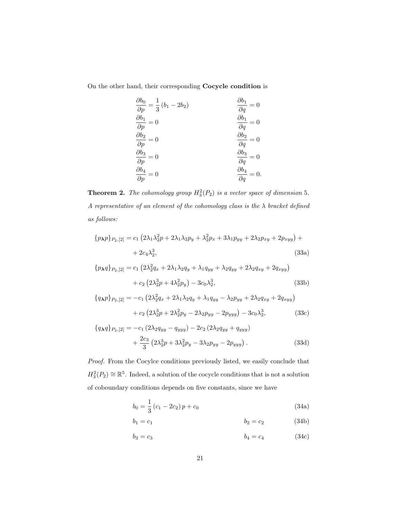On the other hand, their corresponding Cocycle condition is

$$
\begin{aligned}\n\frac{\partial b_0}{\partial p} &= \frac{1}{3} (b_1 - 2b_2) & \frac{\partial b_1}{\partial q} &= 0\\
\frac{\partial b_1}{\partial p} &= 0 & \frac{\partial b_1}{\partial q} &= 0\\
\frac{\partial b_2}{\partial p} &= 0 & \frac{\partial b_2}{\partial q} &= 0\\
\frac{\partial b_3}{\partial p} &= 0 & \frac{\partial b_3}{\partial q} &= 0\\
\frac{\partial b_4}{\partial p} &= 0 & \frac{\partial b_4}{\partial q} &= 0.\n\end{aligned}
$$

**Theorem 2.** The cohomology group  $H_3^2(P_2)$  is a vector space of dimension 5. A representative of an element of the cohomology class is the  $\lambda$  bracket defined as follows:

$$
\{p_{\lambda}p\}_{P_2,[2]} = c_1 (2\lambda_1\lambda_2^2p + 2\lambda_1\lambda_2p_y + \lambda_2^2p_x + 3\lambda_1p_{yy} + 2\lambda_2p_{xy} + 2p_{xyy}) + + 2c_4\lambda_2^3,
$$
 (33a)

$$
\{p_{\lambda}q\}_{P_2,[2]} = c_1 \left(2\lambda_2^2 q_x + 2\lambda_1 \lambda_2 q_y + \lambda_1 q_{yy} + \lambda_2 q_{yy} + 2\lambda_2 q_{xy} + 2q_{xyy}\right) + c_2 \left(2\lambda_2^3 p + 4\lambda_2^2 p_y\right) - 3c_0 \lambda_2^3,
$$
(33b)

<span id="page-21-0"></span>
$$
\{q_{\lambda}p\}_{P_2,[2]} = -c_1 \left(2\lambda_2^2 q_x + 2\lambda_1 \lambda_2 q_y + \lambda_1 q_{yy} - \lambda_2 p_{yy} + 2\lambda_2 q_{xy} + 2q_{xyy}\right) + c_2 \left(2\lambda_2^3 p + 2\lambda_2^2 p_y - 2\lambda_2 p_{yy} - 2p_{yyy}\right) - 3c_0 \lambda_2^3, \tag{33c}
$$

$$
\{q_{\lambda}q\}_{P_2,[2]} = -c_1 (2\lambda_2 q_{yy} - q_{yyy}) - 2c_2 (2\lambda_2 q_{yy} + q_{yyy}) + \frac{2c_3}{3} (2\lambda_2^3 p + 3\lambda_2^2 p_y - 3\lambda_2 p_{yy} - 2p_{yyy}).
$$
\n(33d)

Proof. From the Cocylce conditions previously listed, we easily conclude that  $H_3^2(P_2) \cong \mathbb{R}^5$ . Indeed, a solution of the cocycle conditions that is not a solution of coboundary conditions depends on five constants, since we have

$$
b_0 = \frac{1}{3} (c_1 - 2c_2) p + c_0
$$
\n(34a)

$$
b_1 = c_1 \t\t b_2 = c_2 \t\t (34b)
$$

$$
b_3 = c_3 \t\t b_4 = c_4 \t\t (34c)
$$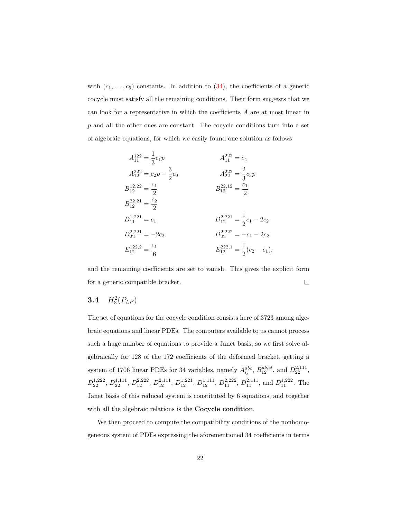with  $(c_1, \ldots, c_5)$  constants. In addition to  $(34)$ , the coefficients of a generic cocycle must satisfy all the remaining conditions. Their form suggests that we can look for a representative in which the coefficients A are at most linear in p and all the other ones are constant. The cocycle conditions turn into a set of algebraic equations, for which we easily found one solution as follows

$$
A_{11}^{122} = \frac{1}{3}c_1p
$$
  
\n
$$
A_{12}^{222} = c_2p - \frac{3}{2}c_0
$$
  
\n
$$
A_{12}^{222} = \frac{c_1}{2}
$$
  
\n
$$
B_{12}^{12,22} = \frac{c_1}{2}
$$
  
\n
$$
B_{12}^{22,21} = \frac{c_2}{2}
$$
  
\n
$$
D_{11}^{1,221} = c_1
$$
  
\n
$$
D_{12}^{2,221} = -2c_3
$$
  
\n
$$
D_{12}^{2,222} = -c_1 - 2c_2
$$
  
\n
$$
D_{12}^{2,222} = -c_1 - 2c_2
$$
  
\n
$$
E_{12}^{12,2,2} = \frac{c_1}{6}
$$
  
\n
$$
E_{12}^{22,21} = \frac{1}{2}(c_2 - c_1),
$$

and the remaining coefficients are set to vanish. This gives the explicit form for a generic compatible bracket.  $\Box$ 

## **3.4**  $H_3^2(P_{LP})$

The set of equations for the cocycle condition consists here of 3723 among algebraic equations and linear PDEs. The computers available to us cannot process such a huge number of equations to provide a Janet basis, so we first solve algebraically for 128 of the 172 coefficients of the deformed bracket, getting a system of 1706 linear PDEs for 34 variables, namely  $A_{ij}^{abc}$ ,  $B_{12}^{ab,c}$ , and  $D_{22}^{2,111}$ ,  $D_{22}^{1,222}$ ,  $D_{22}^{1,111}$ ,  $D_{12}^{2,222}$ ,  $D_{12}^{2,111}$ ,  $D_{12}^{1,221}$ ,  $D_{12}^{1,111}$ ,  $D_{11}^{2,222}$ ,  $D_{11}^{2,111}$ , and  $D_{11}^{1,222}$ . The Janet basis of this reduced system is constituted by 6 equations, and together with all the algebraic relations is the **Cocycle condition**.

We then proceed to compute the compatibility conditions of the nonhomogeneous system of PDEs expressing the aforementioned 34 coefficients in terms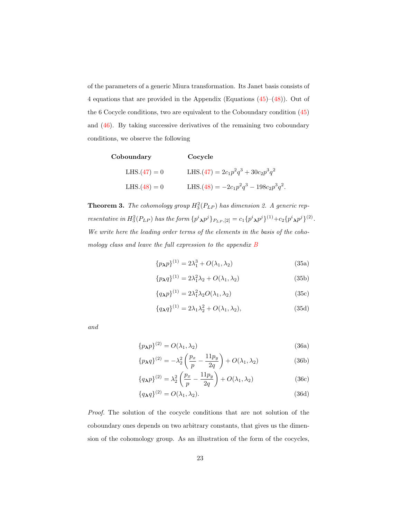of the parameters of a generic Miura transformation. Its Janet basis consists of 4 equations that are provided in the Appendix (Equations  $(45)$ – $(48)$ ). Out of the 6 Cocycle conditions, two are equivalent to the Coboundary condition [\(45\)](#page-31-0) and [\(46\)](#page-31-1). By taking successive derivatives of the remaining two coboundary conditions, we observe the following

| Coboundary     | Cocycle                                    |
|----------------|--------------------------------------------|
| $LHS.(47) = 0$ | LHS. $(47) = 2c_1p^2q^3 + 30c_2p^3q^2$     |
| $LHS.(48) = 0$ | LHS. $(48) = -2c_1p^2q^3 - 198c_2p^3q^2$ . |

**Theorem 3.** The cohomology group  $H_3^2(P_{LP})$  has dimension 2. A generic representative in  $H_3^2(P_{LP})$  has the form  $\{p^i \chi p^j\}_{P_{LP},[2]} = c_1 \{p^i \chi p^j\}^{(1)} + c_2 \{p^i \chi p^j\}^{(2)}$ . We write here the leading order terms of the elements in the basis of the cohomology class and leave the full expression to the appendix [B](#page-32-1)

$$
\{p_{\lambda}p\}^{(1)} = 2\lambda_1^3 + O(\lambda_1, \lambda_2)
$$
\n(35a)

$$
\{p_{\lambda}q\}^{(1)} = 2\lambda_1^2\lambda_2 + O(\lambda_1, \lambda_2)
$$
\n(35b)

$$
\{q_{\lambda}p\}^{(1)} = 2\lambda_1^2 \lambda_2 O(\lambda_1, \lambda_2) \tag{35c}
$$

$$
\{q_{\lambda}q\}^{(1)} = 2\lambda_1\lambda_2^2 + O(\lambda_1, \lambda_2),\tag{35d}
$$

and

$$
\{p_{\mathbf{\lambda}}p\}^{(2)} = O(\lambda_1, \lambda_2) \tag{36a}
$$

$$
\{p_{\mathbf{A}}q\}^{(2)} = -\lambda_2^2 \left(\frac{p_x}{p} - \frac{11p_y}{2q}\right) + O(\lambda_1, \lambda_2)
$$
 (36b)

$$
\{q_{\lambda}p\}^{(2)} = \lambda_2^2 \left(\frac{p_x}{p} - \frac{11p_y}{2q}\right) + O(\lambda_1, \lambda_2)
$$
 (36c)

$$
\{q_{\lambda}q\}^{(2)} = O(\lambda_1, \lambda_2). \tag{36d}
$$

Proof. The solution of the cocycle conditions that are not solution of the coboundary ones depends on two arbitrary constants, that gives us the dimension of the cohomology group. As an illustration of the form of the cocycles,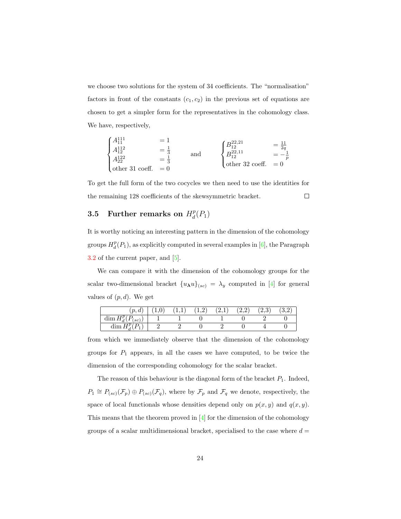we choose two solutions for the system of 34 coefficients. The "normalisation" factors in front of the constants  $(c_1, c_2)$  in the previous set of equations are chosen to get a simpler form for the representatives in the cohomology class. We have, respectively,

<span id="page-24-0"></span>
$$
\begin{cases}\nA_{11}^{111} &= 1 \\
A_{12}^{112} &= \frac{1}{3} \\
A_{22}^{122} &= \frac{1}{3} \\
\text{other 31 coeff.} &= 0\n\end{cases}\n\text{ and }\n\begin{cases}\nB_{12}^{22,21} &= \frac{11}{2q} \\
B_{12}^{22,11} &= -\frac{1}{p} \\
\text{other 32 coeff.} &= 0\n\end{cases}
$$

To get the full form of the two cocycles we then need to use the identities for the remaining 128 coefficients of the skewsymmetric bracket.  $\Box$ 

#### 3.5 Further remarks on  $H_d^p$  $_{d}^{p}(P_{1})$

It is worthy noticing an interesting pattern in the dimension of the cohomology groups  $H_d^p(P_1)$ , as explicitly computed in several examples in [\[6\]](#page-35-0), the Paragraph [3.2](#page-18-0) of the current paper, and [\[5\]](#page-35-8).

We can compare it with the dimension of the cohomology groups for the scalar two-dimensional bracket  ${u_{\lambda}u}_{(sc)} = \lambda_y$  computed in [\[4\]](#page-35-4) for general values of  $(p, d)$ . We get

| $\cdot$ $\cdot$<br>$\bm{u}$                    |  | <b>1.4</b> | <u>.</u> | 4.4 | .∠,∪ ' |  |
|------------------------------------------------|--|------------|----------|-----|--------|--|
| 1m<br>$_{sc}$<br>$\sim$ and Le $_{\rm A}$<br>a |  |            |          |     |        |  |
| $\frac{1}{2}$                                  |  |            |          |     |        |  |

from which we immediately observe that the dimension of the cohomology groups for  $P_1$  appears, in all the cases we have computed, to be twice the dimension of the corresponding cohomology for the scalar bracket.

The reason of this behaviour is the diagonal form of the bracket  $P_1$ . Indeed,  $P_1 \cong P_{(sc)}(\mathcal{F}_p) \oplus P_{(sc)}(\mathcal{F}_q)$ , where by  $\mathcal{F}_p$  and  $\mathcal{F}_q$  we denote, respectively, the space of local functionals whose densities depend only on  $p(x, y)$  and  $q(x, y)$ . This means that the theorem proved in [\[4\]](#page-35-4) for the dimension of the cohomology groups of a scalar multidimensional bracket, specialised to the case where  $d =$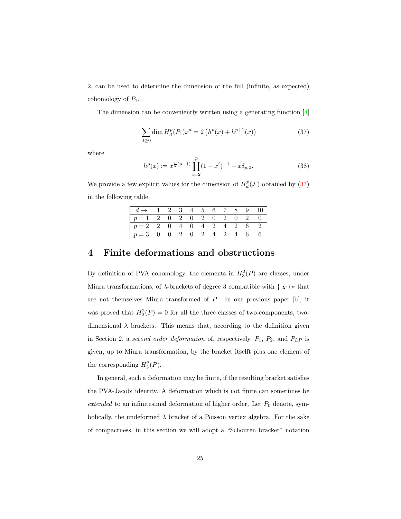2, can be used to determine the dimension of the full (infinite, as expected) cohomology of  $P_1$ .

The dimension can be conveniently written using a generating function [\[4\]](#page-35-4)

<span id="page-25-1"></span>
$$
\sum_{d\geq 0} \dim H_d^p(P_1) x^d = 2 \left( h^p(x) + h^{p+1}(x) \right) \tag{37}
$$

where

$$
h^{p}(x) := x^{\frac{p}{2}(p-1)} \prod_{i=2}^{p} (1 - x^{i})^{-1} + x \delta_{p,0}.
$$
 (38)

We provide a few explicit values for the dimension of  $H_d^p(\mathcal{F})$  obtained by [\(37\)](#page-24-0) in the following table.

| $d \rightarrow \begin{bmatrix} 1 & 2 & 3 & 4 & 5 & 6 & 7 & 8 & 9 & 10 \end{bmatrix}$ |  |  |  |  |  |
|--------------------------------------------------------------------------------------|--|--|--|--|--|
| $p=1$ 2 0 2 0 2 0 2 0 2 0                                                            |  |  |  |  |  |
| $p=2$ 2 0 4 0 4 2 4 2 6 2                                                            |  |  |  |  |  |
| $p=3$ 0 0 2 0 2 4 2 4 6 6                                                            |  |  |  |  |  |

#### 4 Finite deformations and obstructions

By definition of PVA cohomology, the elements in  $H_3^2(P)$  are classes, under Miura transformations, of  $\lambda$ -brackets of degree 3 compatible with  $\{\cdot_{\lambda}\cdot\}_P$  that are not themselves Miura transformed of  $P$ . In our previous paper  $[6]$ , it was proved that  $H_2^2(P) = 0$  for all the three classes of two-components, twodimensional  $\lambda$  brackets. This means that, according to the definition given in Section 2, a second order deformation of, respectively,  $P_1$ ,  $P_2$ , and  $P_{LP}$  is given, up to Miura transformation, by the bracket itselft plus one element of the corresponding  $H_3^2(P)$ .

<span id="page-25-0"></span>In general, such a deformation may be finite, if the resulting bracket satisfies the PVA-Jacobi identity. A deformation which is not finite can sometimes be extended to an infinitesimal deformation of higher order. Let  $P_0$  denote, symbolically, the undeformed  $\lambda$  bracket of a Poisson vertex algebra. For the sake of compactness, in this section we will adopt a "Schouten bracket" notation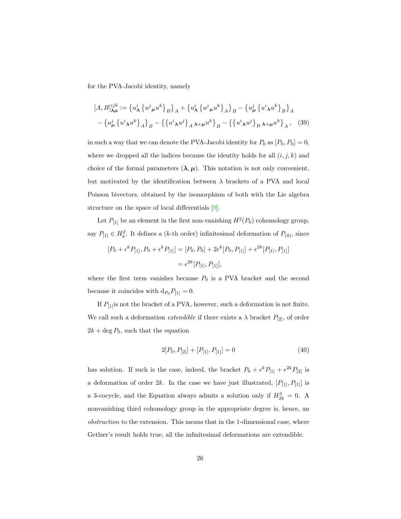for the PVA-Jacobi identity, namely

$$
[A, B]_{\lambda\mu}^{ijk} := \{ u_{\lambda}^{i} \{ u^{j}{}_{\mu} u^{k} \} _{B} \}_A + \{ u_{\lambda}^{i} \{ u^{j}{}_{\mu} u^{k} \} _{A} \}_B - \{ u_{\mu}^{j} \{ u^{i}{}_{\lambda} u^{k} \} _{B} \}_A
$$

$$
- \{ u_{\mu}^{j} \{ u^{i}{}_{\lambda} u^{k} \} _{A} \}_B - \{ \{ u^{i}{}_{\lambda} u^{j} \} _{A} \lambda + \mu u^{k} \}_B - \{ \{ u^{i}{}_{\lambda} u^{j} \} _{B} \lambda + \mu u^{k} \}_A, \quad (39)
$$

in such a way that we can denote the PVA-Jacobi identity for  $P_0$  as  $[P_0, P_0] = 0$ , where we dropped all the indices because the identity holds for all  $(i, j, k)$  and choice of the formal parameters  $(\lambda, \mu)$ . This notation is not only convenient, but motivated by the identification between  $\lambda$  brackets of a PVA and local Poisson bivectors, obtained by the isomorphism of both with the Lie algebra structure on the space of local differentials [\[9\]](#page-35-6).

<span id="page-26-0"></span>Let  $P_{[1]}$  be an element in the first non-vanishing  $H^2(P_0)$  cohomology group, say  $P_{[1]} \in H_k^2$ . It defines a (k-th order) infinitesimal deformation of  $P_{(0)}$ , since

$$
[P_0 + \epsilon^k P_{[1]}, P_0 + \epsilon^k P_{[1]}] = [P_0, P_0] + 2\epsilon^k [P_0, P_{[1]}] + \epsilon^{2k} [P_{[1]}, P_{[1]}]
$$
  
=  $\epsilon^{2k} [P_{[1]}, P_{[1]}],$ 

where the first term vanishes because  $P_0$  is a PVA bracket and the second because it coincides with  $d_{P_0} P_{[1]} = 0$ .

If  $P_{[1]}$  is not the bracket of a PVA, however, such a deformation is not finite. We call such a deformation *extendible* if there exists a  $\lambda$  bracket  $P_{[2]}$ , of order  $2k + \deg P_0$ , such that the equation

$$
2[P_0, P_{[2]}] + [P_{[1]}, P_{[1]}] = 0 \tag{40}
$$

has solution. If such is the case, indeed, the bracket  $P_0 + \epsilon^k P_{[1]} + \epsilon^{2k} P_{[2]}$  is a deformation of order  $2k$ . In the case we have just illustrated,  $[P_{[1]}, P_{[1]}]$  is a 3-cocycle, and the Equation always admits a solution only if  $H_{2k}^3 = 0$ . A nonvanishing third cohomology group in the appropriate degree is, hence, an obstruction to the extension. This means that in the 1-dimensional case, where Getlzer's result holds true, all the infinitesimal deformations are extendible.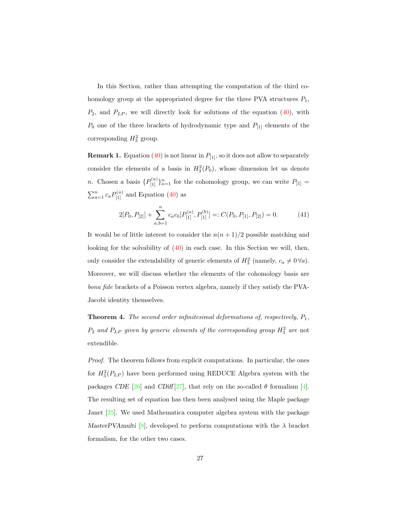In this Section, rather than attempting the computation of the third cohomology group at the appropriated degree for the three PVA structures  $P_1$ ,  $P_2$ , and  $P_{LP}$ , we will directly look for solutions of the equation [\(40\)](#page-25-0), with  $\mathcal{P}_0$  one of the three brackets of hydrodynamic type and  $\mathcal{P}_{[1]}$  elements of the corresponding  $H_3^2$  group.

**Remark 1.** Equation [\(40\)](#page-25-0) is not linear in  $P_{[1]}$ , so it does not allow to separately consider the elements of a basis in  $H_3^2(P_0)$ , whose dimension let us denote *n*. Chosen a basis  $\{P_{[1]}^{(a)}\}_{a=1}^n$  for the cohomology group, we can write  $P_{[1]} =$  $\sum_{a=1}^{n} c_a P_{[1]}^{(a)}$  and Equation [\(40\)](#page-25-0) as

$$
2[P_0, P_{[2]}] + \sum_{a,b=1}^{n} c_a c_b [P_{[1]}^{(a)}, P_{[1]}^{(b)}] =: C(P_0, P_{[1]}, P_{[2]}) = 0.
$$
 (41)

It would be of little interest to consider the  $n(n + 1)/2$  possible matching and looking for the solvability of [\(40\)](#page-25-0) in each case. In this Section we will, then, only consider the extendability of generic elements of  $H_3^2$  (namely,  $c_a \neq 0 \forall a$ ). Moreover, we will discuss whether the elements of the cohomology basis are bona fide brackets of a Poisson vertex algebra, namely if they satisfy the PVA-Jacobi identity themselves.

**Theorem 4.** The second order infinitesimal deformations of, respectively,  $P_1$ ,  $P_2$  and  $P_{LP}$  given by generic elements of the corresponding group  $H_3^2$  are not extendible.

Proof. The theorem follows from explicit computations. In particular, the ones for  $H_3^2(P_{LP})$  have been performed using REDUCE Algebra system with the packages CDE [\[26\]](#page-37-5) and CDiff [\[27\]](#page-37-4), that rely on the so-called  $\theta$  formalism [\[4\]](#page-35-4). The resulting set of equation has then been analysed using the Maple package Janet [\[25\]](#page-37-6). We used Mathematica computer algebra system with the package MasterPVAmulti [\[8\]](#page-35-7), developed to perform computations with the  $\lambda$  bracket formalism, for the other two cases.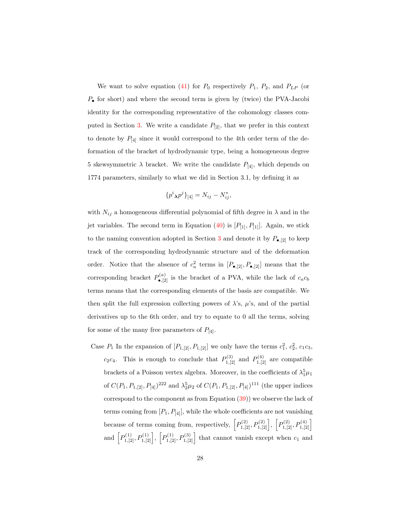We want to solve equation [\(41\)](#page-26-0) for  $P_0$  respectively  $P_1$ ,  $P_2$ , and  $P_{LP}$  (or  $P_{\bullet}$  for short) and where the second term is given by (twice) the PVA-Jacobi identity for the corresponding representative of the cohomology classes com-puted in Section [3.](#page-15-0) We write a candidate  $P_{[2]}$ , that we prefer in this context to denote by  $P_{[4]}$  since it would correspond to the 4th order term of the deformation of the bracket of hydrodynamic type, being a homogeneous degree 5 skewsymmetric  $\lambda$  bracket. We write the candidate  $P_{[4]}$ , which depends on 1774 parameters, similarly to what we did in Section 3.1, by defining it as

$$
\{p^i \lambda p^j\}_{[4]} = N_{ij} - N_{ij}^*,
$$

with  $N_{ij}$  a homogeneous differential polynomial of fifth degree in  $\lambda$  and in the jet variables. The second term in Equation [\(40\)](#page-25-0) is  $[P_{1}, P_{1}]$ . Again, we stick to the naming convention adopted in Section [3](#page-15-0) and denote it by  $P_{\bullet,[2]}$  to keep track of the corresponding hydrodynamic structure and of the deformation order. Notice that the absence of  $c_a^2$  terms in  $[P_{\bullet,[2]}, P_{\bullet,[2]}]$  means that the corresponding bracket  $P_{\bullet,[2]}^{(a)}$  is the bracket of a PVA, while the lack of  $c_a c_b$ terms means that the corresponding elements of the basis are compatible. We then split the full expression collecting powers of  $\lambda$ 's,  $\mu$ 's, and of the partial derivatives up to the 6th order, and try to equate to 0 all the terms, solving for some of the many free parameters of  $P_{[4]}$ .

<span id="page-28-0"></span>Case  $P_1$  In the expansion of  $[P_{1,2}], P_{1,[2]}$  we only have the terms  $c_1^2, c_2^2, c_1c_3$ ,  $c_2c_4$ . This is enough to conclude that  $P_{1,[2]}^{(3)}$  and  $P_{1,[2]}^{(4)}$  are compatible brackets of a Poisson vertex algebra. Moreover, in the coefficients of  $\lambda_1^5 \mu_1$ of  $C(P_1, P_{1,[2]}, P_{[4]})^{222}$  and  $\lambda_2^5 \mu_2$  of  $C(P_1, P_{1,[2]}, P_{[4]})^{111}$  (the upper indices correspond to the component as from Equation [\(39\)](#page-25-1)) we observe the lack of terms coming from  $[P_1, P_{[4]}]$ , while the whole coefficients are not vanishing because of terms coming from, respectively,  $P_{1,[2]}^{(2)}, P_{1,[2]}^{(2)}$ ,  $P_{1,[2]}^{(2)}, P_{1,[2]}^{(4)}$ and  $\left[P_{1,[2]}^{(1)}, P_{1,[2]}^{(1)}\right], \left[P_{1,[2]}^{(1)}, P_{1,[2]}^{(3)}\right]$  that cannot vanish except when  $c_1$  and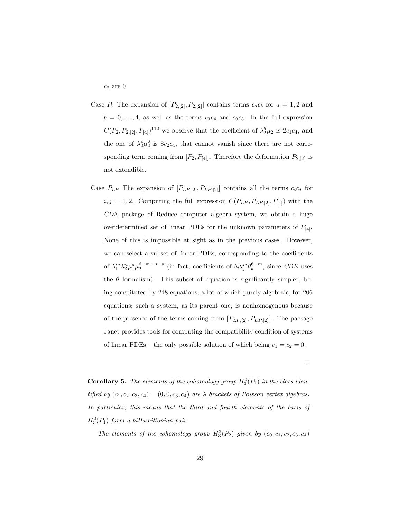$c_2$  are 0.

- Case  $P_2$  The expansion of  $[P_{2,12}, P_{2,12}]$  contains terms  $c_a c_b$  for  $a = 1, 2$  and  $b = 0, \ldots, 4$ , as well as the terms  $c_3c_4$  and  $c_0c_3$ . In the full expression  $C(P_2, P_{2,[2]}, P_{[4]})^{112}$  we observe that the coefficient of  $\lambda_2^5 \mu_2$  is  $2c_1c_4$ , and the one of  $\lambda_2^4 \mu_2^2$  is  $8c_2c_4$ , that cannot vanish since there are not corresponding term coming from  $[P_2, P_{[4]}]$ . Therefore the deformation  $P_{2,[2]}$  is not extendible.
- <span id="page-29-0"></span>Case  $P_{LP}$  The expansion of  $[P_{LP,[2]}, P_{LP,[2]}]$  contains all the terms  $c_i c_j$  for  $i, j = 1, 2$ . Computing the full expression  $C(P_{LP}, P_{LP,[2]}, P_{[4]})$  with the CDE package of Reduce computer algebra system, we obtain a huge overdetermined set of linear PDEs for the unknown parameters of  $P_{[4]}$ . None of this is impossible at sight as in the previous cases. However, we can select a subset of linear PDEs, corresponding to the coefficients of  $\lambda_1^m \lambda_2^n \mu_1^s \mu_2^{6-m-n-s}$  (in fact, coefficients of  $\theta_i \theta_j^m \theta_k^{6-m}$ , since CDE uses the  $\theta$  formalism). This subset of equation is significantly simpler, being constituted by 248 equations, a lot of which purely algebraic, for 206 equations; such a system, as its parent one, is nonhomogenous because of the presence of the terms coming from  $[P_{LP,[2]}, P_{LP,[2]}]$ . The package Janet provides tools for computing the compatibility condition of systems of linear PDEs – the only possible solution of which being  $c_1 = c_2 = 0$ .

**Corollary 5.** The elements of the cohomology group  $H_3^2(P_1)$  in the class identified by  $(c_1, c_2, c_3, c_4) = (0, 0, c_3, c_4)$  are  $\lambda$  brackets of Poisson vertex algebras. In particular, this means that the third and fourth elements of the basis of  $H_3^2(P_1)$  form a biHamiltonian pair.

The elements of the cohomology group  $H_3^2(P_2)$  given by  $(c_0, c_1, c_2, c_3, c_4)$ 

 $\Box$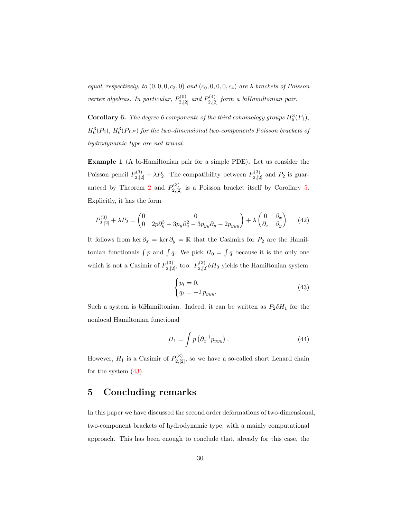equal, respectively, to  $(0, 0, 0, c_3, 0)$  and  $(c_0, 0, 0, 0, c_4)$  are  $\lambda$  brackets of Poisson vertex algebras. In particular,  $P_{2,[2]}^{(0)}$  and  $P_{2,[2]}^{(4)}$  form a biHamiltonian pair.

**Corollary 6.** The degree 6 components of the third cohomology groups  $H_6^3(P_1)$ ,  $H_6^3(P_2)$ ,  $H_6^3(P_{LP})$  for the two-dimensional two-components Poisson brackets of hydrodynamic type are not trivial.

Example 1 (A bi-Hamiltonian pair for a simple PDE). Let us consider the Poisson pencil  $P_{2,[2]}^{(3)} + \lambda P_2$ . The compatibility between  $P_{2,[2]}^{(3)}$  and  $P_2$  is guar-anteed by Theorem [2](#page-20-1) and  $P_{2,[2]}^{(3)}$  is a Poisson bracket itself by Corollary [5.](#page-28-0) Explicitly, it has the form

$$
P_{2,[2]}^{(3)} + \lambda P_2 = \begin{pmatrix} 0 & 0 \\ 0 & 2p\partial_y^3 + 3p_y\partial_y^2 - 3p_{yy}\partial_y - 2p_{yyy} \end{pmatrix} + \lambda \begin{pmatrix} 0 & \partial_x \\ \partial_x & \partial_y \end{pmatrix}.
$$
 (42)

It follows from ker  $\partial_x = \ker \partial_y = \mathbb{R}$  that the Casimirs for  $P_2$  are the Hamiltonian functionals  $\int p$  and  $\int q$ . We pick  $H_0 = \int q$  because it is the only one which is not a Casimir of  $P_{2,[2]}^{(3)}$ , too.  $P_{2,[2]}^{(3)} \delta H_0$  yields the Hamiltonian system

$$
\begin{cases} p_t = 0, \\ q_t = -2 \, p_{yyy}. \end{cases} \tag{43}
$$

Such a system is biHamiltonian. Indeed, it can be written as  $P_2 \delta H_1$  for the nonlocal Hamiltonian functional

$$
H_1 = \int p\left(\partial_x^{-1} p_{yyy}\right). \tag{44}
$$

However,  $H_1$  is a Casimir of  $P_{2,[2]}^{(3)}$ , so we have a so-called short Lenard chain for the system [\(43\)](#page-29-0).

## 5 Concluding remarks

In this paper we have discussed the second order deformations of two-dimensional, two-component brackets of hydrodynamic type, with a mainly computational approach. This has been enough to conclude that, already for this case, the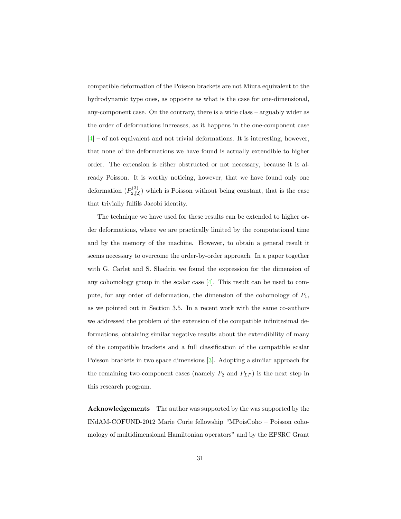compatible deformation of the Poisson brackets are not Miura equivalent to the hydrodynamic type ones, as opposite as what is the case for one-dimensional, any-component case. On the contrary, there is a wide class – arguably wider as the order of deformations increases, as it happens in the one-component case [\[4\]](#page-35-4) – of not equivalent and not trivial deformations. It is interesting, however, that none of the deformations we have found is actually extendible to higher order. The extension is either obstructed or not necessary, because it is already Poisson. It is worthy noticing, however, that we have found only one deformation  $(P_{2,[2]}^{(3)})$  which is Poisson without being constant, that is the case that trivially fulfils Jacobi identity.

<span id="page-31-0"></span>The technique we have used for these results can be extended to higher order deformations, where we are practically limited by the computational time and by the memory of the machine. However, to obtain a general result it seems necessary to overcome the order-by-order approach. In a paper together with G. Carlet and S. Shadrin we found the expression for the dimension of any cohomology group in the scalar case [\[4\]](#page-35-4). This result can be used to compute, for any order of deformation, the dimension of the cohomology of  $P_1$ , as we pointed out in Section 3.5. In a recent work with the same co-authors we addressed the problem of the extension of the compatible infinitesimal deformations, obtaining similar negative results about the extendibility of many of the compatible brackets and a full classification of the compatible scalar Poisson brackets in two space dimensions [\[3\]](#page-35-5). Adopting a similar approach for the remaining two-component cases (namely  $P_2$  and  $P_{LP}$ ) is the next step in this research program.

<span id="page-31-2"></span><span id="page-31-1"></span>Acknowledgements The author was supported by the was supported by the INdAM-COFUND-2012 Marie Curie fellowship "MPoisCoho – Poisson cohomology of multidimensional Hamiltonian operators" and by the EPSRC Grant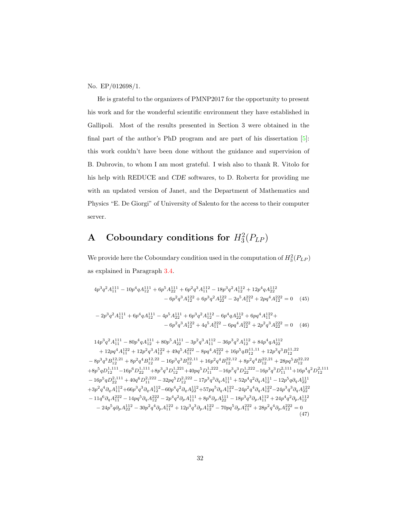No. EP/012698/1.

<span id="page-32-0"></span>He is grateful to the organizers of PMNP2017 for the opportunity to present his work and for the wonderful scientific environment they have established in Gallipoli. Most of the results presented in Section 3 were obtained in the final part of the author's PhD program and are part of his dissertation [\[5\]](#page-35-8): this work couldn't have been done without the guidance and supervision of B. Dubrovin, to whom I am most grateful. I wish also to thank R. Vitolo for his help with REDUCE and CDE softwares, to D. Robertz for providing me with an updated version of Janet, and the Department of Mathematics and Physics "E. De Giorgi" of University of Salento for the access to their computer server.

# <span id="page-32-1"></span>A Coboundary conditions for  $H_3^2(P_{LP})$

We provide here the Coboundary condition used in the computation of  $H_3^2(P_{LP})$ as explained in Paragraph [3.4.](#page-21-0)

$$
4p^3q^2A_{11}^{111} - 10p^4qA_{12}^{111} + 6p^5A_{22}^{111} + 6p^2q^3A_{11}^{112} - 18p^3q^2A_{12}^{112} + 12p^4qA_{22}^{112}
$$

$$
- 6p^2q^3A_{12}^{122} + 6p^3q^2A_{22}^{122} - 2q^5A_{11}^{222} + 2pq^4A_{12}^{222} = 0 \quad (45)
$$

$$
- 2p^3q^2A_{11}^{111} + 6p^4qA_{12}^{111} - 4p^5A_{21}^{111} + 6p^3q^2A_{12}^{112} - 6p^4qA_{12}^{112} + 6pq^4A_{12}^{122} + 6pq^4A_{12}^{122} + 2p^2q^3A_{22}^{222} = 0 \quad (46)
$$

$$
14p^3q^2A_{111}^{111} - 80p^4qA_{11}^{111} + 80p^5A_{21}^{111} - 3p^2q^3A_{11}^{112} - 36p^3q^2A_{12}^{112} + 84p^4qA_{22}^{112}
$$

$$
+ 12pq^4A_{11}^{122} + 12p^2q^3A_{12}^{122} + 49q^5A_{12}^{222} - 8pq^4A_{12}^{222} + 16p^5qB_{12}^{11,11} + 12p^3q^3B_{12}^{11,22}
$$

$$
- 8p^3q^3B_{12}^{12,21} + 8p^2q^4B_{12}^{12,22} - 16p^3q^3B_{12}^{22,11} + 16p^2q^4B_{12}^{22,12} + 8p^2q^4B_{12}^{22,12} + 28pq^5B_{12}^{22,22}
$$

$$
+ 8p^5qD_{11}^{1111} - 16p^6D_{21}^{11
$$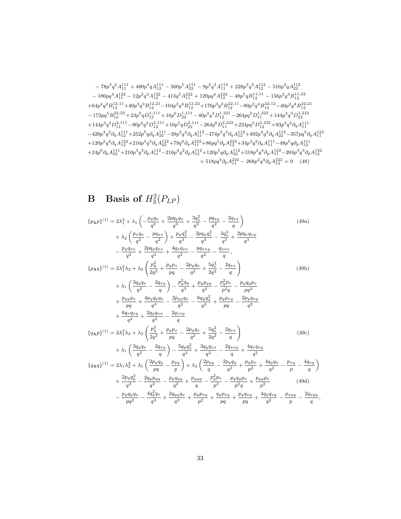$$
-78p^3q^2A_{11}^{111} + 480p^4qA_{12}^{111} - 560p^5A_{22}^{111} - 9p^2q^3A_{11}^{112} + 228p^3q^2A_{12}^{112} - 516p^4qA_{22}^{112} \\ -180pq^4A_{11}^{122} - 12p^2q^3A_{12}^{122} - 413q^5A_{11}^{222} + 120pq^4A_{12}^{222} - 48p^5qB_{12}^{11,11} - 156p^3q^3B_{12}^{11,22} \\ + 64p^4q^2B_{12}^{12,11} + 40p^3q^3B_{12}^{12,21} - 104p^2q^4B_{12}^{12,22} + 176p^3q^3B_{12}^{22,11} - 80p^2q^4B_{12}^{22,12} - 40p^2q^4B_{12}^{22,21} \\ - 172pq^5B_{12}^{22,22} + 24p^5qD_{12}^{1,111} + 16p^6D_{22}^{1,11} - 40p^3q^3D_{12}^{1,221} - 264pq^5D_{11}^{1,222} + 144p^3q^3D_{22}^{1,222} \\ + 144p^3q^3B_{11}^{2,111} - 80p^4q^2D_{12}^{2,111} + 16p^5qD_{22}^{2,111} - 264q^6D_{11}^{2,222} + 224pq^5D_{12}^{2,222} + 93p^3q^3\partial_qA_{11}^{111} \\ - 420p^4q^2\partial_qA_{11}^{111} + 252p^5q\partial_qA_{22}^{111} - 39p^2q^4\partial_qA_{11}^{112} - 474p^3q^3\partial_qA_{12}^{112} + 492p^4q^2\partial_qA_{22}^{112} - 357pq^5\partial_qA_{11}^{112}
$$

# **B** Basis of  $H_3^2(P_{LP})$

$$
\{p_{\lambda}p\}^{(1)} = 2\lambda_1^3 + \lambda_1 \left( -\frac{p_y q_x}{q^2} + \frac{2p q_y q_x}{q^3} + \frac{3q_x^2}{q^2} - \frac{p q_{xy}}{q^2} - \frac{2q_{xx}}{q} \right)
$$
\n
$$
+ \lambda_2 \left( \frac{p_x q_x}{q^2} - \frac{p q_{xx}}{q^2} \right) + \frac{p_y q_x^2}{q^3} - \frac{3p q_y q_x^2}{q^4} - \frac{3q_x^3}{q^3} + \frac{2p q_x q_{xy}}{q^3}
$$
\n
$$
- \frac{p_y q_{xx}}{q^2} + \frac{2p q_y q_{xx}}{q^3} + \frac{4q_x q_{xx}}{q^2} - \frac{p q_{xxy}}{q^2} - \frac{q_{xxx}}{q},
$$
\n
$$
\{p_{\lambda}q\}^{(1)} = 2\lambda_1^2 \lambda_2 + \lambda_2 \left( \frac{p_y^2}{2q^2} + \frac{p_y p_x}{pq} - \frac{2p_y q_x}{q^2} + \frac{5q_x^2}{2q^2} - \frac{2q_{xx}}{q} \right)
$$
\n
$$
+ \lambda_1 \left( \frac{3q_y q_x}{q^2} - \frac{2q_y}{q} \right) - \frac{p_y^2 q_y}{q^3} + \frac{p_y p_{yy}}{q^2} - \frac{p_y^2 p_x}{p^2 q} - \frac{p_y q_y p_x}{p q^2}
$$
\n
$$
+ \frac{p_{yy} p_x}{pq} + \frac{4p_y q_y q_x}{q^3} - \frac{2p_y q_x}{q^2} - \frac{6q_y q_x^2}{q^3} + \frac{p_y p_{xy}}{q} - \frac{2p_y q_{xy}}{q^2}
$$
\n
$$
+ \frac{6q_x q_{xy}}{q^2} + \frac{2q_y q_{xx}}{q^2} - \frac{2q_{xxy}}{q}
$$
\n
$$
\{q_{\lambda}p\}^{(1)} = 2\lambda_1^2 \lambda_2 + \lambda_2 \left( \frac{p_y^2}{2q^2} + \frac{p_y p_x}{pq} - \frac{2p_y q_x}{q^2} + \frac{5q_x^2}{2q^2} - \
$$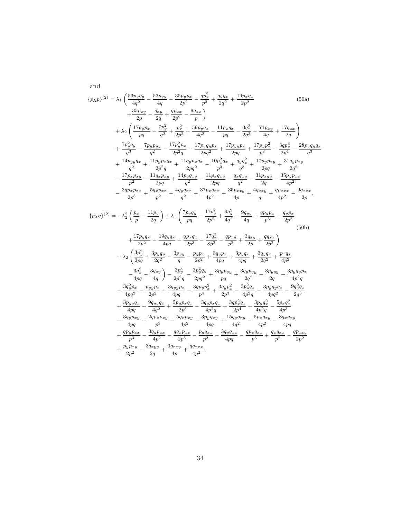$$
\{p_{\mathbf{X}}p\}^{(2)} = \lambda_1 \left( \frac{53p_yq_y}{4q^2} - \frac{53p_yy}{4q} - \frac{35p_yp_x}{2p^2} - \frac{qp_x^2}{p^3} + \frac{q_yq_x}{2q^2} + \frac{19p_xq_x}{2p^2} \right)
$$
\n
$$
+ \frac{35p_{xy}}{2p} - \frac{q_{xy}}{2q} + \frac{qp_{xx}}{2p^2} - \frac{9q_{xx}}{p} \right)
$$
\n
$$
+ \lambda_2 \left( \frac{17p_yp_x}{pq} - \frac{7p_y^2}{q^2} + \frac{p_x^2}{2p^2} + \frac{59p_yq_x}{4q^2} - \frac{11p_xq_x}{pq} - \frac{3q_x^2}{2q^2} - \frac{71p_xy}{4q} + \frac{17q_{xx}}{2q} \right)
$$
\n
$$
+ \frac{7p_y^2q_y}{q^3} - \frac{7p_yp_{yy}}{q^2} - \frac{17p_y^2p_x}{2p^2q} - \frac{17p_yq_yp_x}{4p^2} + \frac{17p_yp_x}{2pq} + \frac{17p_yp_x^2}{2p^2} + \frac{3qp_x^2}{2p^3} - \frac{28p_yq_yq_x}{q^3}
$$
\n
$$
+ \frac{14p_yyq_x}{q^2} + \frac{11p_yp_xq_x}{2p^2q} + \frac{11q_yp_xq_x}{2pq^2} - \frac{10p_x^2q_x}{p^3} + \frac{q_yq_x^2}{q^3} + \frac{17p_yp_xy}{2p^2} + \frac{31q_yp_xy}{2q^2}
$$
\n
$$
- \frac{17p_xp_{xy}}{p^2} - \frac{11q_xp_{xy}}{2pq} + \frac{14p_yq_{xy}}{q^2} - \frac{11p_xq_{xy}}{2pq} - \frac{q_xq_{xy}}{q^3} - \frac{31p_{xyy}}{2q^2} - \frac{31p_{xyy}}{4p^2}
$$
\n
$$
- \frac{3q_{yx}p_{xx}}{2p^3} + \frac{5q_xp_{xx}}{p^2} - \frac{4q_yq_{xx}}
$$

and

 $-\frac{3q_yp_{xy}}{4}$ 

 $+\frac{qp_yp_{xx}}{2}$ 

<span id="page-34-1"></span><span id="page-34-0"></span> $+\frac{p_y p_{xy}}{2}$ 

 $\frac{q_yp_{xy}}{4pq} + \frac{2qp_xp_{xy}}{p^3}$ 

 $\frac{y p_{xx}}{p^3} - \frac{3 q_y p_{xx}}{4 p^2}$ 

 $\frac{y \overline{p_{xy}}}{2p^2} - \frac{3q_{xyy}}{2q}$ 

 $\frac{p_x p_{xy}}{p^3} - \frac{5q_x p_{xy}}{4p^2}$ 

 $\frac{qy p_{xx}}{4p^2} - \frac{qq_x p_{xx}}{2p^3}$ 

 $\frac{q_{xyy}}{2q} + \frac{3q_{xxy}}{4p}$ 

 $\frac{4}{4p^2} - \frac{3p_yq_{xy}}{4pq}$ 

 $\frac{p_{xx}}{2p^3} - \frac{p_y q_{xx}}{p^2}$ 

 $\frac{q_{xxy}}{4p} + \frac{qq_{xxx}}{4p^2}$  $rac{4\pi x}{4p^2},$ 

 $\frac{dyq_{xy}}{4pq} + \frac{15q_yq_{xy}}{4q^2}$ 

 $\frac{q_{xx}}{p^2} + \frac{3q_yq_{xx}}{4pq}$ 

 $\frac{q_y q_{xy}}{4q^2} - \frac{5p_x q_{xy}}{4p^2}$ 

 $\frac{q_{y}q_{xx}}{4pq} - \frac{q_{p_x}q_{xx}}{p^3}$ 

 $\frac{\partial xq_{xy}}{4p^2} - \frac{3q_xq_{xy}}{4pq}$ 4pq

> $\frac{q_{xx}}{p^2} - \frac{q p_{xxy}}{2p^2}$  $2p^2$

 $\frac{xq_{xx}}{p^3} + \frac{q_xq_{xx}}{p^2}$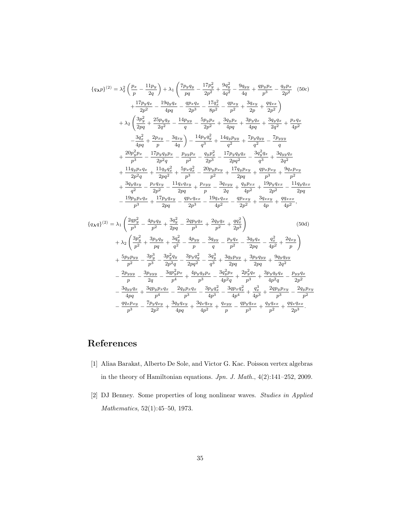<span id="page-35-8"></span><span id="page-35-5"></span><span id="page-35-4"></span><span id="page-35-0"></span>
$$
\{q_{\lambda}p\}^{(2)} = \lambda_2^2 \left(\frac{p_x}{p} - \frac{11p_y}{2q}\right) + \lambda_1 \left(\frac{7p_yq_y}{pq} - \frac{17p_y^2}{2p^2} + \frac{9q_y}{4q} - \frac{9q_yy}{4q} + \frac{qp_yp_x}{p^3} - \frac{q_yp_x}{2p^2} \tag{50c}
$$
\n
$$
+ \frac{17p_yq_x}{2p^2} - \frac{19q_yq_x}{4pq} - \frac{qp_xq_x}{2p^3} - \frac{17q_x^2}{8p^2} - \frac{qp_xy}{p^2} + \frac{3q_xy}{2p} + \frac{qq_xx}{2p^2}\right)
$$
\n
$$
+ \lambda_2 \left(\frac{3p_y^2}{2pq} + \frac{25p_yq_y}{2q^2} - \frac{14p_yy}{q} - \frac{5p_yp_x}{2p^2} + \frac{3q_yp_x}{4pq} + \frac{3p_yq_x}{4pq} + \frac{3q_yq_x}{2q^2} + \frac{p_xq_x}{4p^2}\right)
$$
\n
$$
- \frac{3q_x^2}{4pq} + \frac{2p_xy}{p} - \frac{3q_xy}{4q}\right) - \frac{14p_yq_y^2}{q^3} + \frac{14q_yp_yy}{q^2} + \frac{7p_yq_yy}{q^2} - \frac{7p_yy_y}{q}
$$
\n
$$
+ \frac{20p_y^2p_x}{p^3} - \frac{17p_yq_yp_x}{2p^2q} - \frac{p_yp_x}{p^2} - \frac{q_yp_x^2}{2p^3} - \frac{17p_yq_yq_x}{2pq^2} - \frac{3q_y^2q_x}{q^3} + \frac{3q_yyq_x}{2q^2}
$$
\n
$$
+ \frac{11q_yp_xq_x}{2p^2q} + \frac{11q_yq_x^2}{2p^2} + \frac{5p_xq_x^2}{p^3} - \frac{20p_yp_xy}{2p^3} + \frac{17q_yp_yy}{2p^2} + \frac{49p_xp_xy}{p^3} + \frac{9q_xp_xy}{p^2}
$$
\n
$$
+ \frac{3q_yq_x}{q^2} - \frac{2p
$$

## <span id="page-35-7"></span><span id="page-35-6"></span><span id="page-35-3"></span><span id="page-35-2"></span>References

- [1] Aliaa Barakat, Alberto De Sole, and Victor G. Kac. Poisson vertex algebras in the theory of Hamiltonian equations. Jpn. J. Math., 4(2):141–252, 2009.
- <span id="page-35-1"></span>[2] DJ Benney. Some properties of long nonlinear waves. Studies in Applied Mathematics, 52(1):45–50, 1973.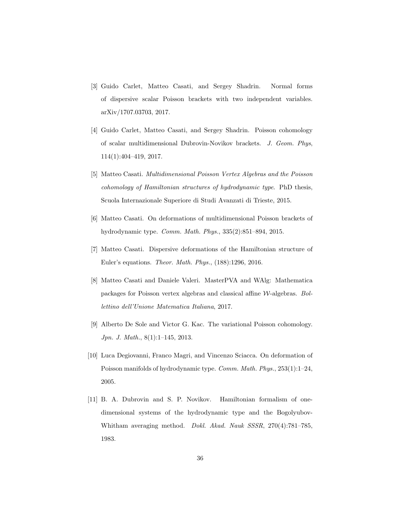- <span id="page-36-4"></span><span id="page-36-1"></span>[3] Guido Carlet, Matteo Casati, and Sergey Shadrin. Normal forms of dispersive scalar Poisson brackets with two independent variables. arXiv/1707.03703, 2017.
- <span id="page-36-7"></span>[4] Guido Carlet, Matteo Casati, and Sergey Shadrin. Poisson cohomology of scalar multidimensional Dubrovin-Novikov brackets. J. Geom. Phys, 114(1):404–419, 2017.
- <span id="page-36-5"></span>[5] Matteo Casati. Multidimensional Poisson Vertex Algebras and the Poisson cohomology of Hamiltonian structures of hydrodynamic type. PhD thesis, Scuola Internazionale Superiore di Studi Avanzati di Trieste, 2015.
- [6] Matteo Casati. On deformations of multidimensional Poisson brackets of hydrodynamic type. Comm. Math. Phys., 335(2):851–894, 2015.
- <span id="page-36-2"></span>[7] Matteo Casati. Dispersive deformations of the Hamiltonian structure of Euler's equations. Theor. Math. Phys., (188):1296, 2016.
- <span id="page-36-6"></span>[8] Matteo Casati and Daniele Valeri. MasterPVA and WAlg: Mathematica packages for Poisson vertex algebras and classical affine W-algebras. Bollettino dell'Unione Matematica Italiana, 2017.
- <span id="page-36-0"></span>[9] Alberto De Sole and Victor G. Kac. The variational Poisson cohomology. Jpn. J. Math., 8(1):1–145, 2013.
- <span id="page-36-8"></span>[10] Luca Degiovanni, Franco Magri, and Vincenzo Sciacca. On deformation of Poisson manifolds of hydrodynamic type. Comm. Math. Phys., 253(1):1–24, 2005.
- <span id="page-36-3"></span>[11] B. A. Dubrovin and S. P. Novikov. Hamiltonian formalism of onedimensional systems of the hydrodynamic type and the Bogolyubov-Whitham averaging method. Dokl. Akad. Nauk SSSR, 270(4):781–785, 1983.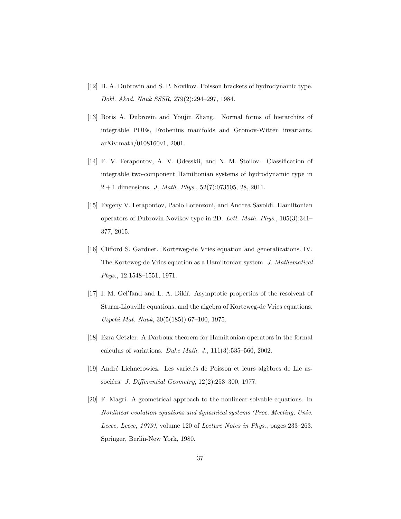- <span id="page-37-0"></span>[12] B. A. Dubrovin and S. P. Novikov. Poisson brackets of hydrodynamic type. Dokl. Akad. Nauk SSSR, 279(2):294–297, 1984.
- <span id="page-37-2"></span>[13] Boris A. Dubrovin and Youjin Zhang. Normal forms of hierarchies of integrable PDEs, Frobenius manifolds and Gromov-Witten invariants. arXiv:math/0108160v1, 2001.
- <span id="page-37-3"></span><span id="page-37-1"></span>[14] E. V. Ferapontov, A. V. Odesskii, and N. M. Stoilov. Classification of integrable two-component Hamiltonian systems of hydrodynamic type in  $2 + 1$  dimensions. *J. Math. Phys.*, 52(7):073505, 28, 2011.
- <span id="page-37-6"></span>[15] Evgeny V. Ferapontov, Paolo Lorenzoni, and Andrea Savoldi. Hamiltonian operators of Dubrovin-Novikov type in 2D. Lett. Math. Phys., 105(3):341– 377, 2015.
- <span id="page-37-5"></span>[16] Clifford S. Gardner. Korteweg-de Vries equation and generalizations. IV. The Korteweg-de Vries equation as a Hamiltonian system. J. Mathematical Phys., 12:1548–1551, 1971.
- <span id="page-37-4"></span>[17] I. M. Gel'fand and L. A. Dikiĭ. Asymptotic properties of the resolvent of Sturm-Liouville equations, and the algebra of Korteweg-de Vries equations. Uspehi Mat. Nauk, 30(5(185)):67–100, 1975.
- [18] Ezra Getzler. A Darboux theorem for Hamiltonian operators in the formal calculus of variations. Duke Math. J.,  $111(3):535-560$ ,  $2002$ .
- [19] André Lichnerowicz. Les variétés de Poisson et leurs algèbres de Lie associées. J. Differential Geometry,  $12(2):253-300$ , 1977.
- [20] F. Magri. A geometrical approach to the nonlinear solvable equations. In Nonlinear evolution equations and dynamical systems (Proc. Meeting, Univ. Lecce, Lecce, 1979), volume 120 of Lecture Notes in Phys., pages 233–263. Springer, Berlin-New York, 1980.